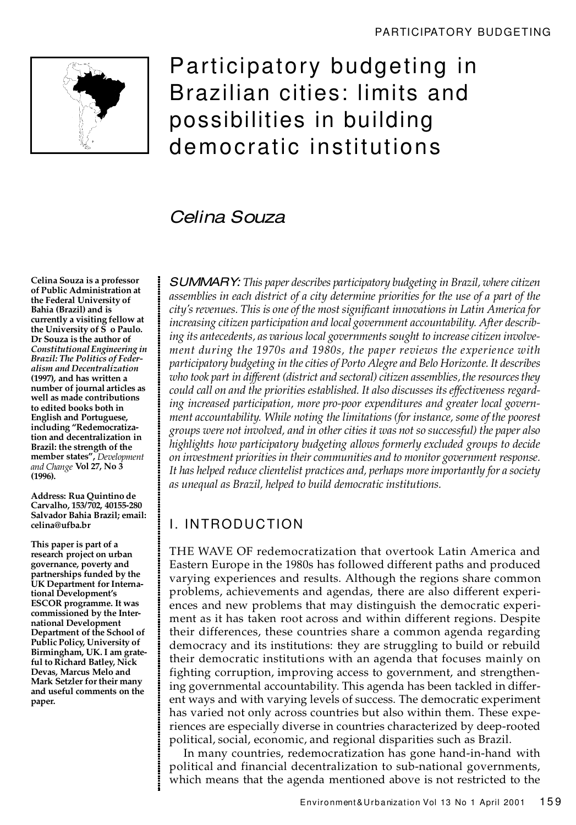

# Participatory budgeting in Brazilian cities: limits and possibilities in building democratic institutions

# *Celina Souza*

**Celina Souza is a professor of Public Administration at the Federal University of Bahia (Brazil) and is currently a visiting fellow at** the University of S o Paulo. **Dr Souza is the author of** *Constitutional Engineering in Brazil: The Politics of Federalism and Decentralization* **(1997), and has written a number of journal articles as well as made contributions to edited books both in English and Portuguese, including "Redemocratization and decentralization in Brazil: the strength of the member states",** *Development and Change* **Vol 27, No 3 (1996).**

**Address: Rua Quintino de Carvalho, 153/702, 40155-280 Salvador Bahia Brazil; email: celina@ufba.br**

**This paper is part of a research project on urban governance, poverty and partnerships funded by the UK Department for International Development's ESCOR programme. It was commissioned by the International Development Department of the School of Public Policy, University of Birmingham, UK. I am grateful to Richard Batley, Nick Devas, Marcus Melo and Mark Setzler for their many and useful comments on the paper.**

*SUMMARY: This paper describes participatory budgeting in Brazil, where citizen assemblies in each district of a city determine priorities for the use of a part of the city's revenues. This is one of the most significant innovations in Latin America for increasing citizen participation and local government accountability. After describing its antecedents, as various local governments sought to increase citizen involvement during the 1970s and 1980s, the paper reviews the experience with participatory budgeting in the cities of Porto Alegre and Belo Horizonte. It describes who took part in different (district and sectoral) citizen assemblies, the resources they could call on and the priorities established. It also discusses its effectiveness regarding increased participation, more pro-poor expenditures and greater local government accountability. While noting the limitations (for instance, some of the poorest groups were not involved, and in other cities it was not so successful) the paper also highlights how participatory budgeting allows formerly excluded groups to decide on investment priorities in their communities and to monitor government response. It has helped reduce clientelist practices and, perhaps more importantly for a society as unequal as Brazil, helped to build democratic institutions.* 

# I. INTRODUCTION

THE WAVE OF redemocratization that overtook Latin America and Eastern Europe in the 1980s has followed different paths and produced varying experiences and results. Although the regions share common problems, achievements and agendas, there are also different experiences and new problems that may distinguish the democratic experiment as it has taken root across and within different regions. Despite their differences, these countries share a common agenda regarding democracy and its institutions: they are struggling to build or rebuild their democratic institutions with an agenda that focuses mainly on fighting corruption, improving access to government, and strengthening governmental accountability. This agenda has been tackled in different ways and with varying levels of success. The democratic experiment has varied not only across countries but also within them. These experiences are especially diverse in countries characterized by deep-rooted political, social, economic, and regional disparities such as Brazil.

In many countries, redemocratization has gone hand-in-hand with political and financial decentralization to sub-national governments, which means that the agenda mentioned above is not restricted to the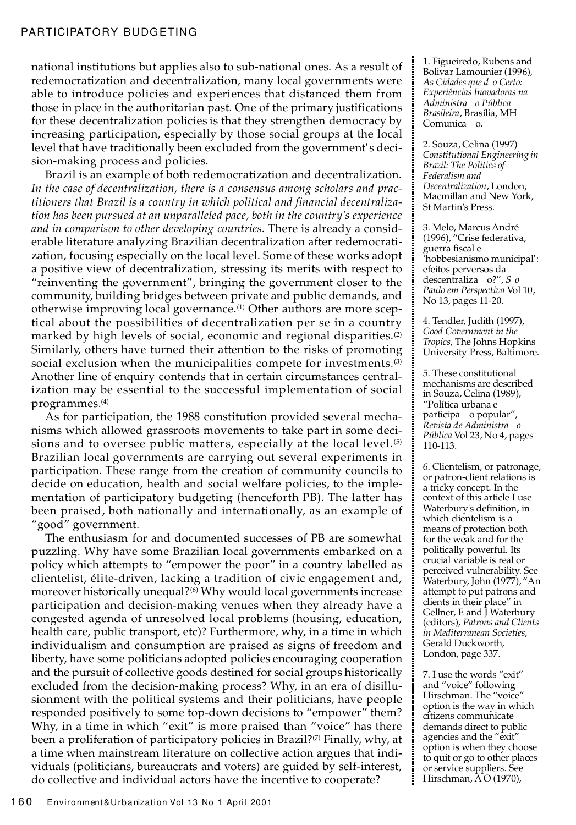national institutions but applies also to sub-national ones. As a result of redemocratization and decentralization, many local governments were able to introduce policies and experiences that distanced them from those in place in the authoritarian past. One of the primary justifications for these decentralization policies is that they strengthen democracy by increasing participation, especially by those social groups at the local level that have traditionally been excluded from the government's decision-making process and policies.

Brazil is an example of both redemocratization and decentralization. *In the case of decentralization, there is a consensus among scholars and practitioners that Brazil is a country in which political and financial decentralization has been pursued at an unparalleled pace, both in the country's experience and in comparison to other developing countries*. There is already a considerable literature analyzing Brazilian decentralization after redemocratization, focusing especially on the local level. Some of these works adopt a positive view of decentralization, stressing its merits with respect to "reinventing the government", bringing the government closer to the community, building bridges between private and public demands, and otherwise improving local governance.(1) Other authors are more sceptical about the possibilities of decentralization per se in a country marked by high levels of social, economic and regional disparities.<sup>(2)</sup> Similarly, others have turned their attention to the risks of promoting social exclusion when the municipalities compete for investments.<sup>(3)</sup> Another line of enquiry contends that in certain circumstances centralization may be essential to the successful implementation of social programmes.(4)

As for participation, the 1988 constitution provided several mechanisms which allowed grassroots movements to take part in some decisions and to oversee public matters, especially at the local level. $(5)$ Brazilian local governments are carrying out several experiments in participation. These range from the creation of community councils to decide on education, health and social welfare policies, to the implementation of participatory budgeting (henceforth PB). The latter has been praised, both nationally and internationally, as an example of "good" government.

The enthusiasm for and documented successes of PB are somewhat puzzling. Why have some Brazilian local governments embarked on a policy which attempts to "empower the poor" in a country labelled as clientelist, élite-driven, lacking a tradition of civic engagement and, moreover historically unequal?<sup>(6)</sup> Why would local governments increase participation and decision-making venues when they already have a congested agenda of unresolved local problems (housing, education, health care, public transport, etc)? Furthermore, why, in a time in which individualism and consumption are praised as signs of freedom and liberty, have some politicians adopted policies encouraging cooperation and the pursuit of collective goods destined for social groups historically excluded from the decision-making process? Why, in an era of disillusionment with the political systems and their politicians, have people responded positively to some top-down decisions to "empower" them? Why, in a time in which "exit" is more praised than "voice" has there been a proliferation of participatory policies in Brazil?<sup>(7)</sup> Finally, why, at a time when mainstream literature on collective action argues that individuals (politicians, bureaucrats and voters) are guided by self-interest, do collective and individual actors have the incentive to cooperate?

1. Figueiredo, Rubens and Bolivar Lamounier (1996), As Cidades que d o Certo: *Experiências Inovadoras na Administraç o Pública Brasileira*, Brasília, MH Comunica o.

2. Souza, Celina (1997) *Constitutional Engineering in Brazil: The Politics of Federalism and Decentralization*, London, Macmillan and New York, St Martin's Press.

3. Melo, Marcus André (1996), "Crise federativa, guerra fiscal e 'hobbesianismo municipal': efeitos perversos da descentraliza o?", *S o Paulo em Perspectiva* Vol 10, No 13, pages 11-20.

4. Tendler, Judith (1997), *Good Government in the Tropics*, The Johns Hopkins University Press, Baltimore.

5. These constitutional mechanisms are described in Souza, Celina (1989), "Política urbana e participa o popular", *Revista de Administraç o Pública* Vol 23, No 4, pages 110-113.

6. Clientelism, or patronage, or patron-client relations is a tricky concept. In the context of this article I use Waterbury's definition, in which clientelism is a means of protection both for the weak and for the politically powerful. Its crucial variable is real or perceived vulnerability. See Waterbury, John (1977), "An attempt to put patrons and clients in their place" in Gellner, E and J Waterbury (editors), *Patrons and Clients in Mediterranean Societies*, Gerald Duckworth, London, page 337.

7. I use the words "exit" and "voice" following Hirschman. The "voice" option is the way in which citizens communicate demands direct to public agencies and the "exit" option is when they choose to quit or go to other places or service suppliers. See Hirschman, AO (1970),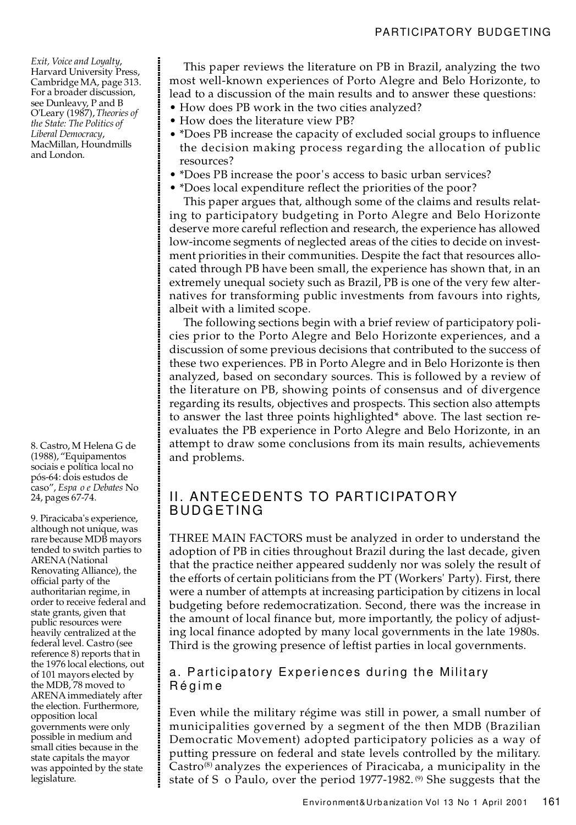*Exit, Voice and Loyalty*, Harvard University Press, Cambridge MA, page 313. For a broader discussion, see Dunleavy, P and B O'Leary (1987), *Theories of the State: The Politics of Liberal Democracy*, MacMillan, Houndmills and London.

8. Castro, M Helena G de (1988), "Equipamentos sociais e política local no pós-64: dois estudos de caso", *Espaço e Debates* No 24, pages 67-74.

9. Piracicaba's experience, although not unique, was rare because MDB mayors tended to switch parties to ARENA(National Renovating Alliance), the official party of the authoritarian regime, in order to receive federal and state grants, given that public resources were heavily centralized at the federal level. Castro (see reference 8) reports that in the 1976 local elections, out of 101 mayors elected by the MDB, 78 moved to ARENAimmediately after the election. Furthermore, opposition local governments were only possible in medium and small cities because in the state capitals the mayor was appointed by the state legislature.

This paper reviews the literature on PB in Brazil, analyzing the two most well-known experiences of Porto Alegre and Belo Horizonte, to lead to a discussion of the main results and to answer these questions:

- How does PB work in the two cities analyzed?
- How does the literature view PB?
- \*Does PB increase the capacity of excluded social groups to influence the decision making process regarding the allocation of public resources?
- \*Does PB increase the poor's access to basic urban services?
- \*Does local expenditure reflect the priorities of the poor?

This paper argues that, although some of the claims and results relating to participatory budgeting in Porto Alegre and Belo Horizonte deserve more careful reflection and research, the experience has allowed low-income segments of neglected areas of the cities to decide on investment priorities in their communities. Despite the fact that resources allocated through PB have been small, the experience has shown that, in an extremely unequal society such as Brazil, PB is one of the very few alternatives for transforming public investments from favours into rights, albeit with a limited scope.

The following sections begin with a brief review of participatory policies prior to the Porto Alegre and Belo Horizonte experiences, and a discussion of some previous decisions that contributed to the success of these two experiences. PB in Porto Alegre and in Belo Horizonte is then analyzed, based on secondary sources. This is followed by a review of the literature on PB, showing points of consensus and of divergence regarding its results, objectives and prospects. This section also attempts to answer the last three points highlighted\* above. The last section reevaluates the PB experience in Porto Alegre and Belo Horizonte, in an attempt to draw some conclusions from its main results, achievements and problems.

# II. ANTECEDENTS TO PARTICIPATOR Y B UDGETING

THREE MAIN FACTORS must be analyzed in order to understand the adoption of PB in cities throughout Brazil during the last decade, given that the practice neither appeared suddenly nor was solely the result of the efforts of certain politicians from the PT (Workers' Party). First, there were a number of attempts at increasing participation by citizens in local budgeting before redemocratization. Second, there was the increase in the amount of local finance but, more importantly, the policy of adjusting local finance adopted by many local governments in the late 1980s. Third is the growing presence of leftist parties in local governments.

# a. Participatory Experiences during the Military R é g i m e

Even while the military régime was still in power, a small number of municipalities governed by a segment of the then MDB (Brazilian Democratic Movement) adopted participatory policies as a way of putting pressure on federal and state levels controlled by the military. Castro<sup>(8)</sup> analyzes the experiences of Piracicaba, a municipality in the state of S o Paulo, over the period 1977-1982.<sup>(9)</sup> She suggests that the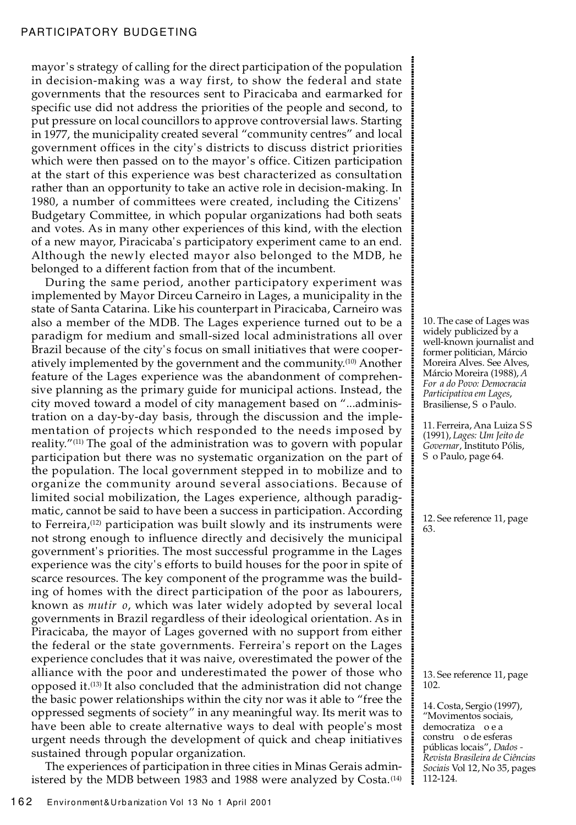mayor's strategy of calling for the direct participation of the population in decision-making was a way first, to show the federal and state governments that the resources sent to Piracicaba and earmarked for specific use did not address the priorities of the people and second, to put pressure on local councillors to approve controversial laws. Starting in 1977, the municipality created several "community centres" and local government offices in the city's districts to discuss district priorities which were then passed on to the mayor's office. Citizen participation at the start of this experience was best characterized as consultation rather than an opportunity to take an active role in decision-making. In 1980, a number of committees were created, including the Citizens' Budgetary Committee, in which popular organizations had both seats and votes. As in many other experiences of this kind, with the election of a new mayor, Piracicaba's participatory experiment came to an end. Although the newly elected mayor also belonged to the MDB, he belonged to a different faction from that of the incumbent.

During the same period, another participatory experiment was implemented by Mayor Dirceu Carneiro in Lages, a municipality in the state of Santa Catarina. Like his counterpart in Piracicaba, Carneiro was also a member of the MDB. The Lages experience turned out to be a paradigm for medium and small-sized local administrations all over Brazil because of the city's focus on small initiatives that were cooperatively implemented by the government and the community.<sup>(10)</sup> Another **i** feature of the Lages experience was the abandonment of comprehensive planning as the primary guide for municipal actions. Instead, the city moved toward a model of city management based on "...administration on a day-by-day basis, through the discussion and the imple mentation of projects which responded to the needs imposed by reality."(11) The goal of the administration was to govern with popular participation but there was no systematic organization on the part of the population. The local government stepped in to mobilize and to organize the community around several associations. Because of limited social mobilization, the Lages experience, although paradigmatic, cannot be said to have been a success in participation. According to Ferreira,(12) participation was built slowly and its instruments were not strong enough to influence directly and decisively the municipal government's priorities. The most successful programme in the Lages experience was the city's efforts to build houses for the poor in spite of scarce resources. The key component of the programme was the building of homes with the direct participation of the poor as labourers, known as *mutir*  $o$ , which was later widely adopted by several local governments in Brazil regardless of their ideological orientation. As in Piracicaba, the mayor of Lages governed with no support from either the federal or the state governments. Ferreira's report on the Lages experience concludes that it was naive, overestimated the power of the alliance with the poor and underestimated the power of those who opposed it.(13) It also concluded that the administration did not change the basic power relationships within the city nor was it able to "free the oppressed segments of society" in any meaningful way. Its merit was to have been able to create alternative ways to deal with people's most urgent needs through the development of quick and cheap initiatives sustained through popular organization.

The experiences of participation in three cities in Minas Gerais administered by the MDB between 1983 and 1988 were analyzed by Costa.<sup>(14)</sup>

10. The case of Lages was widely publicized by a well-known journalist and former politician, Márcio Moreira Alves. See Alves, Márcio Moreira (1988), *A* For a do Povo: Democracia *Participativa em Lages*, Brasiliense, S o Paulo.

11. Ferreira, Ana Luiza S S (1991), *Lages: Um Jeito de Governar*, Instituto Pólis, S o Paulo, page 64.

12. See reference 11, page 63.

13. See reference 11, page 102.

14. Costa, Sergio (1997), "Movimentos sociais, democratiza o e a constru o de esferas públicas locais", *Dados - Revista Brasileira de Ciências Sociais* Vol 12, No 35, pages 112-124.

÷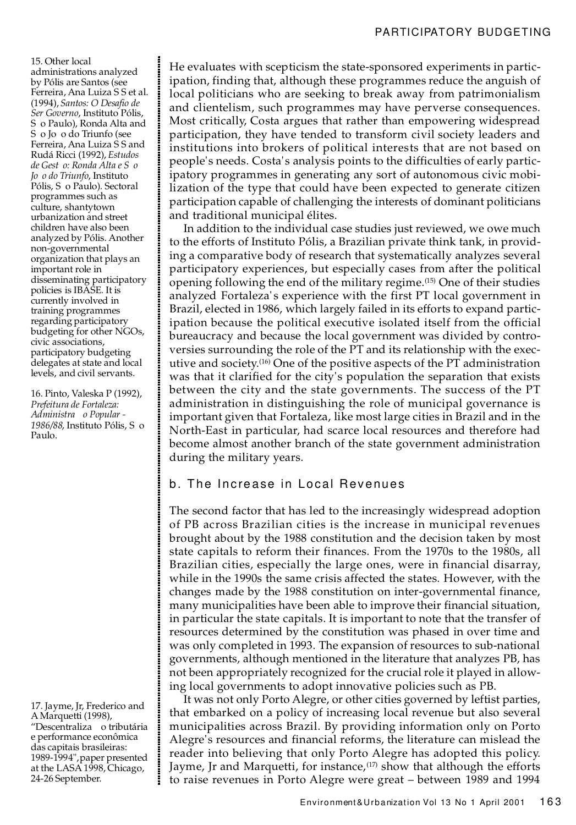15. Other local administrations analyzed by Pólis are Santos (see Ferreira, Ana Luiza S S et al. (1994), *Santos: O Desafio de Ser Governo*, Instituto Pólis, S o Paulo), Ronda Alta and S o Jo o do Triunfo (see Ferreira, Ana Luiza S S and Rudá Ricci (1992), *Estudos de Gestão: Ronda Alta e São João do Triunfo*, Instituto Pólis, S o Paulo). Sectoral programmes such as culture, shantytown urbanization and street children have also been analyzed by Pólis. Another non-governmental organization that plays an important role in disseminating participatory policies is IBASE. It is currently involved in training programmes regarding participatory budgeting for other NGOs, civic associations, participatory budgeting delegates at state and local levels, and civil servants.

16. Pinto, Valeska P (1992), *Prefeitura de Fortaleza: Administraç o Popular - 1986/88*, Instituto Pólis, São Paulo.

17. Jayme, Jr, Frederico and A Marquetti (1998), "Descentraliza o tributária e performance econômica das capitais brasileiras: 1989-1994", paper presented  $\quad \vdots$ at the LASA 1998, Chicago, 24-26 September.

He evaluates with scepticism the state-sponsored experiments in participation, finding that, although these programmes reduce the anguish of local politicians who are seeking to break away from patrimonialism and clientelism, such programmes may have perverse consequences. Most critically, Costa argues that rather than empowering widespread participation, they have tended to transform civil society leaders and institutions into brokers of political interests that are not based on people's needs. Costa's analysis points to the difficulties of early participatory programmes in generating any sort of autonomous civic mobilization of the type that could have been expected to generate citizen participation capable of challenging the interests of dominant politicians and traditional municipal élites.

In addition to the individual case studies just reviewed, we owe much to the efforts of Instituto Pólis, a Brazilian private think tank, in providing a comparative body of research that systematically analyzes several participatory experiences, but especially cases from after the political opening following the end of the military regime.(15) One of their studies analyzed Fortaleza's experience with the first PT local government in Brazil, elected in 1986, which largely failed in its efforts to expand participation because the political executive isolated itself from the official bureaucracy and because the local government was divided by controversies surrounding the role of the PT and its relationship with the executive and society. (16) One of the positive aspects of the PT administration was that it clarified for the city's population the separation that exists between the city and the state governments. The success of the PT administration in distinguishing the role of municipal governance is important given that Fortaleza, like most large cities in Brazil and in the North-East in particular, had scarce local resources and therefore had become almost another branch of the state government administration during the military years.

#### b. The Increase in Local Revenues

The second factor that has led to the increasingly widespread adoption of PB across Brazilian cities is the increase in municipal revenues brought about by the 1988 constitution and the decision taken by most state capitals to reform their finances. From the 1970s to the 1980s, all Brazilian cities, especially the large ones, were in financial disarray, while in the 1990s the same crisis affected the states. However, with the changes made by the 1988 constitution on inter-governmental finance, many municipalities have been able to improve their financial situation, in particular the state capitals. It is important to note that the transfer of resources determined by the constitution was phased in over time and was only completed in 1993. The expansion of resources to sub-national governments, although mentioned in the literature that analyzes PB, has not been appropriately recognized for the crucial role it played in allowing local governments to adopt innovative policies such as PB.

It was not only Porto Alegre, or other cities governed by leftist parties, that embarked on a policy of increasing local revenue but also several municipalities across Brazil. By providing information only on Porto Alegre's resources and financial reforms, the literature can mislead the reader into believing that only Porto Alegre has adopted this policy. Jayme, Jr and Marquetti, for instance,<sup>(17)</sup> show that although the efforts to raise revenues in Porto Alegre were great – between 1989 and 1994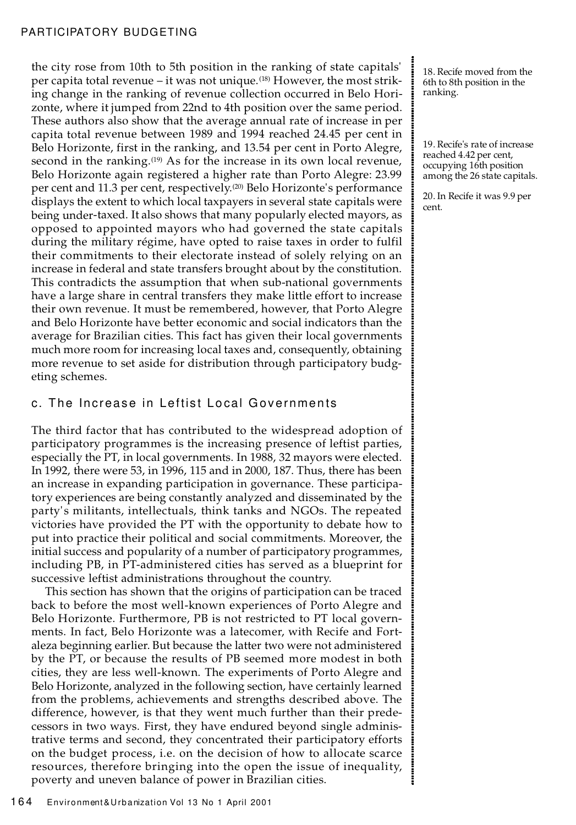the city rose from 10th to 5th position in the ranking of state capitals' per capita total revenue – it was not unique.(18) However, the most striking change in the ranking of revenue collection occurred in Belo Horizonte, where it jumped from 22nd to 4th position over the same period. These authors also show that the average annual rate of increase in per capita total revenue between 1989 and 1994 reached 24.45 per cent in Belo Horizonte, first in the ranking, and 13.54 per cent in Porto Alegre, second in the ranking.<sup>(19)</sup> As for the increase in its own local revenue, Belo Horizonte again registered a higher rate than Porto Alegre: 23.99 per cent and 11.3 per cent, respectively.<sup>(20)</sup> Belo Horizonte's performance  $\;$  **i** displays the extent to which local taxpayers in several state capitals were being under-taxed. It also shows that many popularly elected mayors, as opposed to appointed mayors who had governed the state capitals during the military régime, have opted to raise taxes in order to fulfil their commitments to their electorate instead of solely relying on an increase in federal and state transfers brought about by the constitution. This contradicts the assumption that when sub-national governments have a large share in central transfers they make little effort to increase their own revenue. It must be remembered, however, that Porto Alegre and Belo Horizonte have better economic and social indicators than the average for Brazilian cities. This fact has given their local governments much more room for increasing local taxes and, consequently, obtaining more revenue to set aside for distribution through participatory budgeting schemes.

#### c. The Increase in Leftist Local Governments

The third factor that has contributed to the widespread adoption of participatory programmes is the increasing presence of leftist parties, especially the PT, in local governments. In 1988, 32 mayors were elected. In 1992, there were 53, in 1996, 115 and in 2000, 187. Thus, there has been an increase in expanding participation in governance. These participatory experiences are being constantly analyzed and disseminated by the party's militants, intellectuals, think tanks and NGOs. The repeated victories have provided the PT with the opportunity to debate how to put into practice their political and social commitments. Moreover, the initial success and popularity of a number of participatory programmes, including PB, in PT-administered cities has served as a blueprint for

successive leftist administrations throughout the country. This section has shown that the origins of participation can be traced back to before the most well-known experiences of Porto Alegre and Belo Horizonte. Furthermore, PB is not restricted to PT local governments. In fact, Belo Horizonte was a latecomer, with Recife and Fortaleza beginning earlier. But because the latter two were not administered by the PT, or because the results of PB seemed more modest in both cities, they are less well-known. The experiments of Porto Alegre and Belo Horizonte, analyzed in the following section, have certainly learned from the problems, achievements and strengths described above. The difference, however, is that they went much further than their predecessors in two ways. First, they have endured beyond single administrative terms and second, they concentrated their participatory efforts on the budget process, i.e. on the decision of how to allocate scarce resources, therefore bringing into the open the issue of inequality, poverty and uneven balance of power in Brazilian cities.

18. Recife moved from the 6th to 8th position in the ranking.

19. Recife's rate of increase reached 4.42 per cent, occupying 16th position among the 26 state capitals.

20. In Recife it was 9.9 per cent.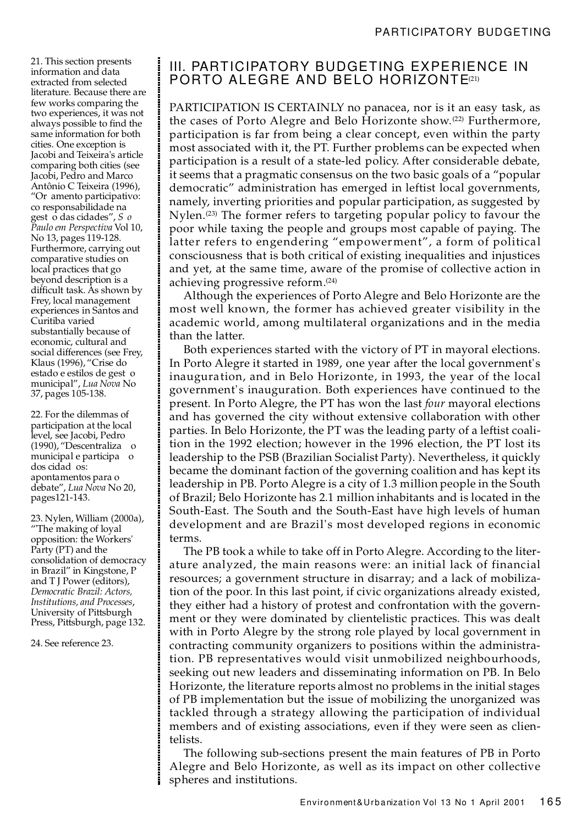21. This section presents information and data extracted from selected literature. Because there are few works comparing the two experiences, it was not always possible to find the same information for both cities. One exception is Jacobi and Teixeira's article comparing both cities (see Jacobi, Pedro and Marco Antônio C Teixeira (1996), "Or amento participativo: co responsabilidade na gest o das cidades", S o *Paulo em Perspectiva* Vol 10, No 13, pages 119-128. Furthermore, carrying out comparative studies on local practices that go beyond description is a difficult task. As shown by Frey, local management experiences in Santos and Curitiba varied substantially because of economic, cultural and social differences (see Frey, Klaus (1996), "Crise do estado e estilos de gesto municipal", *Lua Nova* No 37, pages 105-138.

22. For the dilemmas of participation at the local level, see Jacobi, Pedro (1990), "Descentraliza o municipal e participa o dos cidad os: apontamentos para o debate", *Lua Nova* No 20, pages121-143.

23. Nylen, William (2000a), "'The making of loyal opposition: the Workers' Party (PT) and the consolidation of democracy in Brazil" in Kingstone, P and T J Power (editors), *Democratic Brazil: Actors, Institutions, and Processes*, University of Pittsburgh Press, Pittsburgh, page 132.

24. See reference 23.

# III. PARTICIPATORY BUDGETING EXPERIENCE IN PORTO ALEGRE AND BELO HORIZONTE<sup>(21)</sup>

PARTICIPATION IS CERTAINLY no panacea, nor is it an easy task, as the cases of Porto Alegre and Belo Horizonte show.<sup>(22)</sup> Furthermore, participation is far from being a clear concept, even within the party most associated with it, the PT. Further problems can be expected when participation is a result of a state-led policy. After considerable debate, it seems that a pragmatic consensus on the two basic goals of a "popular democratic" administration has emerged in leftist local governments, namely, inverting priorities and popular participation, as suggested by Nylen.<sup>(23)</sup> The former refers to targeting popular policy to favour the poor while taxing the people and groups most capable of paying. The latter refers to engendering "empowerment", a form of political consciousness that is both critical of existing inequalities and injustices and yet, at the same time, aware of the promise of collective action in achieving progressive reform.(24)

Although the experiences of Porto Alegre and Belo Horizonte are the most well known, the former has achieved greater visibility in the academic world, among multilateral organizations and in the media than the latter.

Both experiences started with the victory of PT in mayoral elections. In Porto Alegre it started in 1989, one year after the local government's inauguration, and in Belo Horizonte, in 1993, the year of the local government's inauguration. Both experiences have continued to the present. In Porto Alegre, the PT has won the last *four* mayoral elections and has governed the city without extensive collaboration with other parties. In Belo Horizonte, the PT was the leading party of a leftist coalition in the 1992 election; however in the 1996 election, the PT lost its leadership to the PSB (Brazilian Socialist Party). Nevertheless, it quickly became the dominant faction of the governing coalition and has kept its leadership in PB. Porto Alegre is a city of 1.3 million people in the South of Brazil; Belo Horizonte has 2.1 million inhabitants and is located in the South-East. The South and the South-East have high levels of human development and are Brazil's most developed regions in economic terms.

The PB took a while to take off in Porto Alegre. According to the literature analyzed, the main reasons were: an initial lack of financial resources; a government structure in disarray; and a lack of mobilization of the poor. In this last point, if civic organizations already existed, they either had a history of protest and confrontation with the government or they were dominated by clientelistic practices. This was dealt with in Porto Alegre by the strong role played by local government in contracting community organizers to positions within the administration. PB representatives would visit unmobilized neighbourhoods, seeking out new leaders and disseminating information on PB. In Belo Horizonte, the literature reports almost no problems in the initial stages of PB implementation but the issue of mobilizing the unorganized was tackled through a strategy allowing the participation of individual members and of existing associations, even if they were seen as clientelists.

The following sub-sections present the main features of PB in Porto Alegre and Belo Horizonte, as well as its impact on other collective spheres and institutions.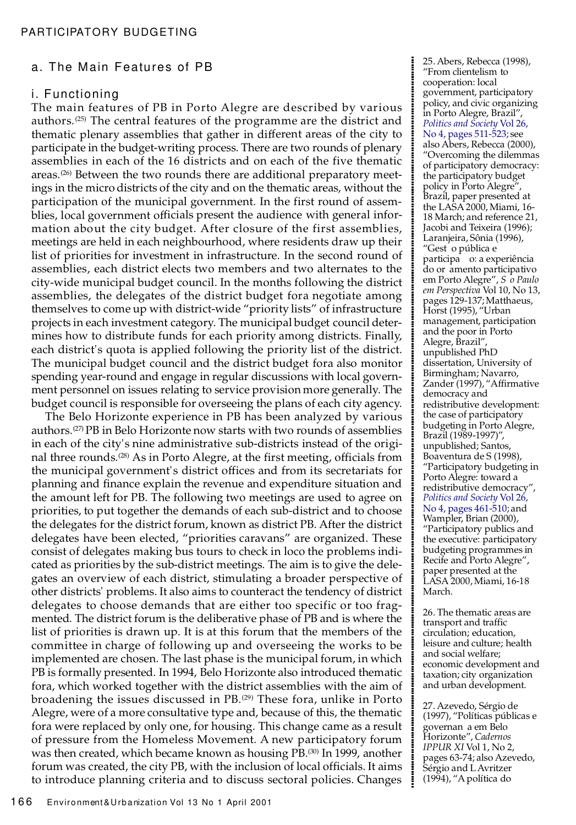#### a. The Main Features of PB

#### i. Functioning

The main features of PB in Porto Alegre are described by various authors.(25) The central features of the programme are the district and thematic plenary assemblies that gather in different areas of the city to participate in the budget-writing process. There are two rounds of plenary assemblies in each of the 16 districts and on each of the five thematic areas.<sup>(26)</sup> Between the two rounds there are additional preparatory meetings in the micro districts of the city and on the thematic areas, without the participation of the municipal government. In the first round of assemblies, local government officials present the audience with general information about the city budget. After closure of the first assemblies, meetings are held in each neighbourhood, where residents draw up their list of priorities for investment in infrastructure. In the second round of assemblies, each district elects two members and two alternates to the city-wide municipal budget council. In the months following the district assemblies, the delegates of the district budget fora negotiate among themselves to come up with district-wide "priority lists" of infrastructure projects in each investment category. The municipal budget council determines how to distribute funds for each priority among districts. Finally, each district's quota is applied following the priority list of the district. The municipal budget council and the district budget fora also monitor spending year-round and engage in regular discussions with local government personnel on issues relating to service provision more generally. The budget council is responsible for overseeing the plans of each city agency.

The Belo Horizonte experience in PB has been analyzed by various authors.(27) PB in Belo Horizonte now starts with two rounds of assemblies in each of the city's nine administrative sub-districts instead of the original three rounds.(28) As in Porto Alegre, at the first meeting, officials from the municipal government's district offices and from its secretariats for planning and finance explain the revenue and expenditure situation and the amount left for PB. The following two meetings are used to agree on priorities, to put together the demands of each sub-district and to choose the delegates for the district forum, known as district PB. After the district delegates have been elected, "priorities caravans" are organized. These consist of delegates making bus tours to check in loco the problems indicated as priorities by the sub-district meetings. The aim is to give the delegates an overview of each district, stimulating a broader perspective of other districts' problems. It also aims to counteract the tendency of district delegates to choose demands that are either too specific or too fragmented. The district forum is the deliberative phase of PB and is where the list of priorities is drawn up. It is at this forum that the members of the committee in charge of following up and overseeing the works to be implemented are chosen. The last phase is the municipal forum, in which PB is formally presented. In 1994, Belo Horizonte also introduced thematic fora, which worked together with the district assemblies with the aim of broadening the issues discussed in PB.(29) These fora, unlike in Porto Alegre, were of a more consultative type and, because of this, the thematic fora were replaced by only one, for housing. This change came as a result of pressure from the Homeless Movement. A new participatory forum was then created, which became known as housing PB.(30) In 1999, another forum was created, the city PB, with the inclusion of local officials. It aims to introduce planning criteria and to discuss sectoral policies. Changes

government, participatory policy, and civic organizing in Porto Alegre, Brazil", *[Politics and Society](http://zaccaria.ingentaselect.com/nw=1/rpsv/cgi-bin/linker?ext=a&reqidx=/0032-3292^28^2926:4L.511[aid=1415731])* Vol 26, [No 4, pages 511-523;](http://zaccaria.ingentaselect.com/nw=1/rpsv/cgi-bin/linker?ext=a&reqidx=/0032-3292^28^2926:4L.511[aid=1415731]) see also Abers, Rebecca (2000), "Overcoming the dilemmas of participatory democracy: the participatory budget policy in Porto Alegre", Brazil, paper presented at the LASA 2000, Miami, 16- 18 March; and reference 21, Jacobi and Teixeira (1996); Laranjeira, Sônia (1996), "Gest o pública e participa o: a experiência do or amento participativo em Porto Alegre", *São Paulo em Perspectiva* Vol 10, No 13, pages 129-137; Matthaeus, Horst (1995), "Urban management, participation and the poor in Porto Alegre, Brazil", unpublished PhD dissertation, University of Birmingham; Navarro, Zander (1997), "Affirmative democracy and redistributive development: the case of participatory budgeting in Porto Alegre, Brazil (1989-1997)", unpublished; Santos, Boaventura de S (1998), "Participatory budgeting in Porto Alegre: toward a redistributive democracy", *[Politics and Society](http://zaccaria.ingentaselect.com/nw=1/rpsv/cgi-bin/linker?ext=a&reqidx=/0032-3292^28^2926:4L.461[aid=1541877])* Vol 26, [No 4, pages 461-510;](http://zaccaria.ingentaselect.com/nw=1/rpsv/cgi-bin/linker?ext=a&reqidx=/0032-3292^28^2926:4L.461[aid=1541877]) and Wampler, Brian (2000), "Participatory publics and the executive: participatory budgeting programmes in Recife and Porto Alegre", paper presented at the LASA 2000, Miami, 16-18 March.

25. Abers, Rebecca (1998), "From clientelism to cooperation: local

26. The thematic areas are transport and traffic circulation; education, leisure and culture; health and social welfare; economic development and taxation; city organization and urban development.

27. Azevedo, Sérgio de (1997), "Políticas públicas e governan a em Belo Horizonte", *Cadernos IPPUR XI* Vol 1, No 2, pages 63-74; also Azevedo, Sérgio and LAvritzer (1994), "A política do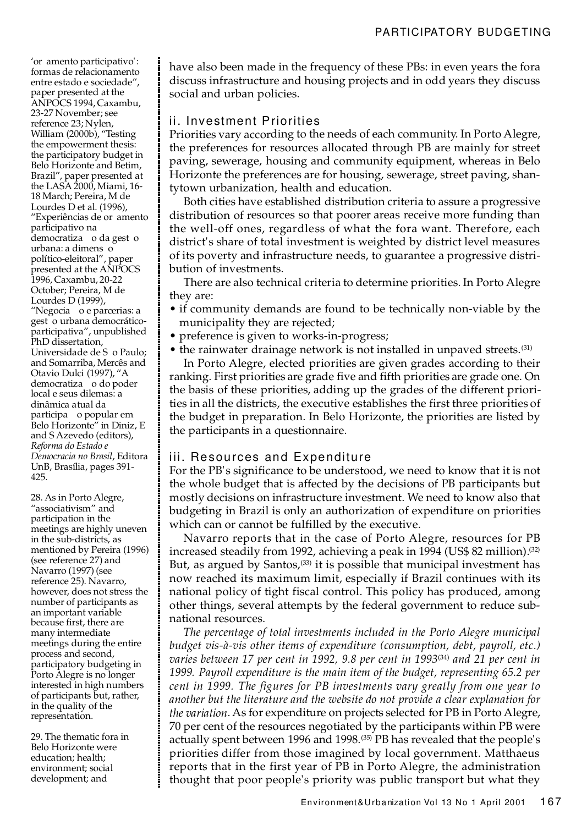'or amento participativo': formas de relacionamento entre estado e sociedade", paper presented at the ANPOCS 1994, Caxambu, 23-27 November; see reference 23; Nylen, William (2000b), "Testing the empowerment thesis: the participatory budget in Belo Horizonte and Betim, Brazil", paper presented at the LASA 2000, Miami, 16- 18 March; Pereira, M de Lourdes D et al. (1996), "Experiências de or amento participativo na democratiza o da gesto urbana: a dimens o político-eleitoral", paper presented at the ANPOCS 1996, Caxambu, 20-22 October; Pereira, M de Lourdes D (1999), "Negocia o e parcerias: a gesto urbana democráticoparticipativa", unpublished PhD dissertation, Universidade de S o Paulo; and Somarriba, Mercês and Otavio Dulci (1997), "A democratiza o do poder local e seus dilemas: a dinâmica atual da participa o popular em  $\qquad \qquad \vdots$ Belo Horizonte" in Diniz, E and S Azevedo (editors), *Reforma do Estado e Democracia no Brasil*, Editora UnB, Brasília, pages 391- 425.

28. As in Porto Alegre, "associativism" and participation in the meetings are highly uneven in the sub-districts, as mentioned by Pereira (1996) (see reference 27) and Navarro (1997) (see reference 25). Navarro, however, does not stress the number of participants as an important variable because first, there are many intermediate meetings during the entire process and second, participatory budgeting in Porto Alegre is no longer interested in high numbers of participants but, rather, in the quality of the representation.

29. The thematic fora in Belo Horizonte were education; health; environment; social development; and

have also been made in the frequency of these PBs: in even years the fora discuss infrastructure and housing projects and in odd years they discuss social and urban policies.

#### ii. Investment Priorities

Priorities vary according to the needs of each community. In Porto Alegre, the preferences for resources allocated through PB are mainly for street paving, sewerage, housing and community equipment, whereas in Belo Horizonte the preferences are for housing, sewerage, street paving, shantytown urbanization, health and education.

Both cities have established distribution criteria to assure a progressive distribution of resources so that poorer areas receive more funding than the well-off ones, regardless of what the fora want. Therefore, each district's share of total investment is weighted by district level measures of its poverty and infrastructure needs, to guarantee a progressive distribution of investments.

There are also technical criteria to determine priorities. In Porto Alegre they are:

- if community demands are found to be technically non-viable by the municipality they are rejected;<br>
• preference is given to works-in-progress;<br>
• the rainwater drainage network is not installed in unpaved streets.<sup>(31)</sup>
- 
- 

In Porto Alegre, elected priorities are given grades according to their ranking. First priorities are grade five and fifth priorities are grade one. On the basis of these priorities, adding up the grades of the different priorities in all the districts, the executive establishes the first three priorities of the budget in preparation. In Belo Horizonte, the priorities are listed by the participants in a questionnaire.

#### iii. Resources and Expenditure

For the PB's significance to be understood, we need to know that it is not the whole budget that is affected by the decisions of PB participants but mostly decisions on infrastructure investment. We need to know also that budgeting in Brazil is only an authorization of expenditure on priorities which can or cannot be fulfilled by the executive.

Navarro reports that in the case of Porto Alegre, resources for PB increased steadily from 1992, achieving a peak in 1994 (US\$ 82 million).<sup>(32)</sup> But, as argued by Santos,<sup>(33)</sup> it is possible that municipal investment has now reached its maximum limit, especially if Brazil continues with its national policy of tight fiscal control. This policy has produced, among other things, several attempts by the federal government to reduce subnational resources.

*The percentage of total investments included in the Porto Alegre municipal budget vis-à-vis other items of expenditure (consumption, debt, payroll, etc.) varies between 17 per cent in 1992, 9.8 per cent in 1993*(34) *and 21 per cent in 1999. Payroll expenditure is the main item of the budget, representing 65.2 per cent in 1999. The figures for PB investments vary greatly from one year to another but the literature and the website do not provide a clear explanation for the variation*. As for expenditure on projects selected for PB in Porto Alegre, 70 per cent of the resources negotiated by the participants within PB were actually spent between 1996 and 1998.(35) PB has revealed that the people's priorities differ from those imagined by local government. Matthaeus reports that in the first year of PB in Porto Alegre, the administration thought that poor people's priority was public transport but what they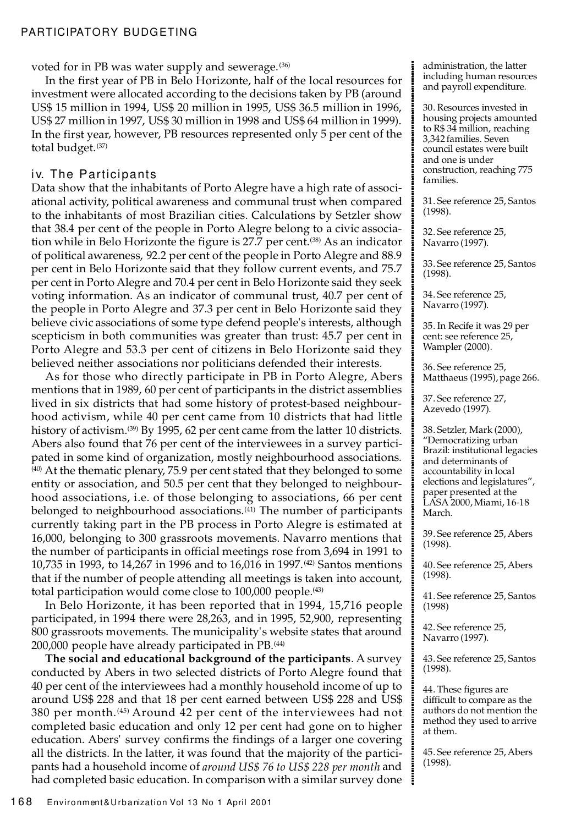#### PARTICIPATORY BUDGETING

voted for in PB was water supply and sewerage.<sup>(36)</sup>

In the first year of PB in Belo Horizonte, half of the local resources for investment were allocated according to the decisions taken by PB (around US\$ 15 million in 1994, US\$ 20 million in 1995, US\$ 36.5 million in 1996, US\$ 27 million in 1997, US\$ 30 million in 1998 and US\$ 64 million in 1999). In the first year, however, PB resources represented only 5 per cent of the total budget.<sup>(37)</sup>

#### iv. The Participants

Data show that the inhabitants of Porto Alegre have a high rate of associational activity, political awareness and communal trust when compared to the inhabitants of most Brazilian cities. Calculations by Setzler show that 38.4 per cent of the people in Porto Alegre belong to a civic association while in Belo Horizonte the figure is 27.7 per cent.<sup>(38)</sup> As an indicator of political awareness, 92.2 per cent of the people in Porto Alegre and 88.9 per cent in Belo Horizonte said that they follow current events, and 75.7 per cent in Porto Alegre and 70.4 per cent in Belo Horizonte said they seek voting information. As an indicator of communal trust, 40.7 per cent of the people in Porto Alegre and 37.3 per cent in Belo Horizonte said they believe civic associations of some type defend people's interests, although scepticism in both communities was greater than trust: 45.7 per cent in Porto Alegre and 53.3 per cent of citizens in Belo Horizonte said they believed neither associations nor politicians defended their interests.

As for those who directly participate in PB in Porto Alegre, Abers mentions that in 1989, 60 per cent of participants in the district assemblies lived in six districts that had some history of protest-based neighbourhood activism, while 40 per cent came from 10 districts that had little history of activism.(39) By 1995, 62 per cent came from the latter 10 districts. Abers also found that 76 per cent of the interviewees in a survey participated in some kind of organization, mostly neighbourhood associations. (40) At the thematic plenary, 75.9 per cent stated that they belonged to some entity or association, and 50.5 per cent that they belonged to neighbourhood associations, i.e. of those belonging to associations, 66 per cent belonged to neighbourhood associations.<sup>(41)</sup> The number of participants currently taking part in the PB process in Porto Alegre is estimated at 16,000, belonging to 300 grassroots movements. Navarro mentions that the number of participants in official meetings rose from 3,694 in 1991 to 10,735 in 1993, to 14,267 in 1996 and to 16,016 in 1997.(42) Santos mentions that if the number of people attending all meetings is taken into account, total participation would come close to 100,000 people.<sup>(43)</sup>

In Belo Horizonte, it has been reported that in 1994, 15,716 people participated, in 1994 there were 28,263, and in 1995, 52,900, representing 800 grassroots movements. The municipality's website states that around 200,000 people have already participated in PB.(44)

**The social and educational background of the participants**. A survey conducted by Abers in two selected districts of Porto Alegre found that 40 per cent of the interviewees had a monthly household income of up to around US\$ 228 and that 18 per cent earned between US\$ 228 and US\$ 380 per month.(45) Around 42 per cent of the interviewees had not completed basic education and only 12 per cent had gone on to higher education. Abers' survey confirms the findings of a larger one covering all the districts. In the latter, it was found that the majority of the participants had a household income of *around US\$ 76 to US\$ 228 per month* and had completed basic education. In comparison with a similar survey done

administration, the latter including human resources and payroll expenditure.

30. Resources invested in housing projects amounted to R\$ 34 million, reaching 3,342 families. Seven council estates were built and one is under construction, reaching 775 families.

31. See reference 25, Santos (1998).

32. See reference 25, Navarro (1997).

33. See reference 25, Santos (1998).

34. See reference 25, Navarro (1997).

35. In Recife it was 29 per cent: see reference 25, Wampler (2000).

36. See reference 25, Matthaeus (1995), page 266.

37. See reference 27, Azevedo (1997).

38. Setzler, Mark (2000), "Democratizing urban Brazil: institutional legacies and determinants of accountability in local elections and legislatures", paper presented at the LASA 2000, Miami, 16-18 March.

39. See reference 25, Abers (1998).

40. See reference 25, Abers (1998).

41. See reference 25, Santos (1998)

42. See reference 25, Navarro (1997).

43. See reference 25, Santos (1998).

44. These figures are difficult to compare as the authors do not mention the method they used to arrive at them.

45. See reference 25, Abers (1998).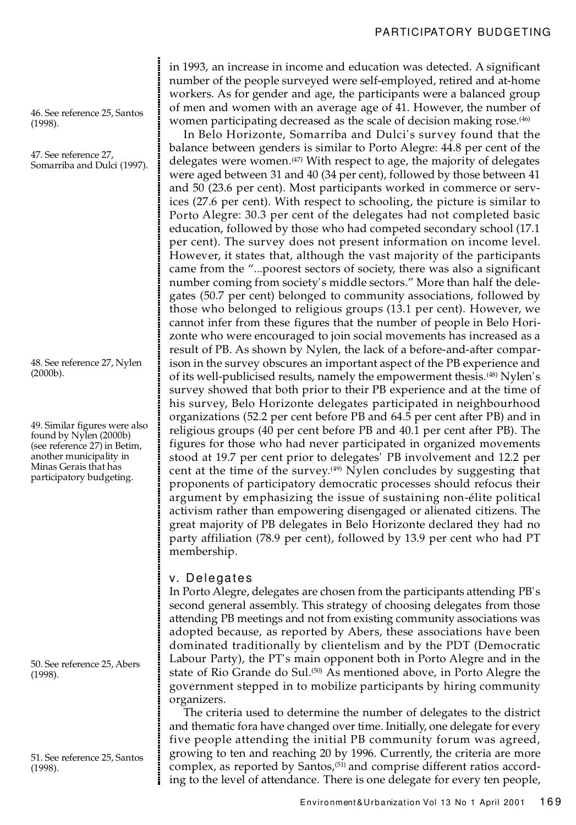46. See reference 25, Santos (1998).

47. See reference 27, Somarriba and Dulci (1997).

48. See reference 27, Nylen (2000b).

49. Similar figures were also found by Nylen (2000b) (see reference 27) in Betim, another municipality in Minas Gerais that has participatory budgeting.

50. See reference 25, Abers (1998).

51. See reference 25, Santos (1998).

in 1993, an increase in income and education was detected. A significant number of the people surveyed were self-employed, retired and at-home workers. As for gender and age, the participants were a balanced group of men and women with an average age of 41. However, the number of women participating decreased as the scale of decision making rose.<sup>(46)</sup>

In Belo Horizonte, Somarriba and Dulci's survey found that the balance between genders is similar to Porto Alegre: 44.8 per cent of the delegates were women.(47) With respect to age, the majority of delegates were aged between 31 and 40 (34 per cent), followed by those between 41 and 50 (23.6 per cent). Most participants worked in commerce or services (27.6 per cent). With respect to schooling, the picture is similar to Porto Alegre: 30.3 per cent of the delegates had not completed basic education, followed by those who had competed secondary school (17.1 per cent). The survey does not present information on income level. However, it states that, although the vast majority of the participants came from the "...poorest sectors of society, there was also a significant number coming from society's middle sectors." More than half the delegates (50.7 per cent) belonged to community associations, followed by those who belonged to religious groups (13.1 per cent). However, we cannot infer from these figures that the number of people in Belo Horizonte who were encouraged to join social movements has increased as a result of PB. As shown by Nylen, the lack of a before-and-after comparison in the survey obscures an important aspect of the PB experience and of its well-publicised results, namely the empowerment thesis.(48) Nylen's survey showed that both prior to their PB experience and at the time of his survey, Belo Horizonte delegates participated in neighbourhood organizations (52.2 per cent before PB and 64.5 per cent after PB) and in religious groups (40 per cent before PB and 40.1 per cent after PB). The figures for those who had never participated in organized movements stood at 19.7 per cent prior to delegates' PB involvement and 12.2 per cent at the time of the survey.<sup>(49)</sup> Nylen concludes by suggesting that proponents of participatory democratic processes should refocus their argument by emphasizing the issue of sustaining non-élite political activism rather than empowering disengaged or alienated citizens. The great majority of PB delegates in Belo Horizonte declared they had no party affiliation (78.9 per cent), followed by 13.9 per cent who had PT membership.

#### v. Delegates

In Porto Alegre, delegates are chosen from the participants attending PB's second general assembly. This strategy of choosing delegates from those attending PB meetings and not from existing community associations was adopted because, as reported by Abers, these associations have been dominated traditionally by clientelism and by the PDT (Democratic Labour Party), the PT's main opponent both in Porto Alegre and in the state of Rio Grande do Sul.<sup>(50)</sup> As mentioned above, in Porto Alegre the government stepped in to mobilize participants by hiring community organizers.

The criteria used to determine the number of delegates to the district and thematic fora have changed over time. Initially, one delegate for every five people attending the initial PB community forum was agreed, growing to ten and reaching 20 by 1996. Currently, the criteria are more complex, as reported by Santos,<sup>(51)</sup> and comprise different ratios according to the level of attendance. There is one delegate for every ten people,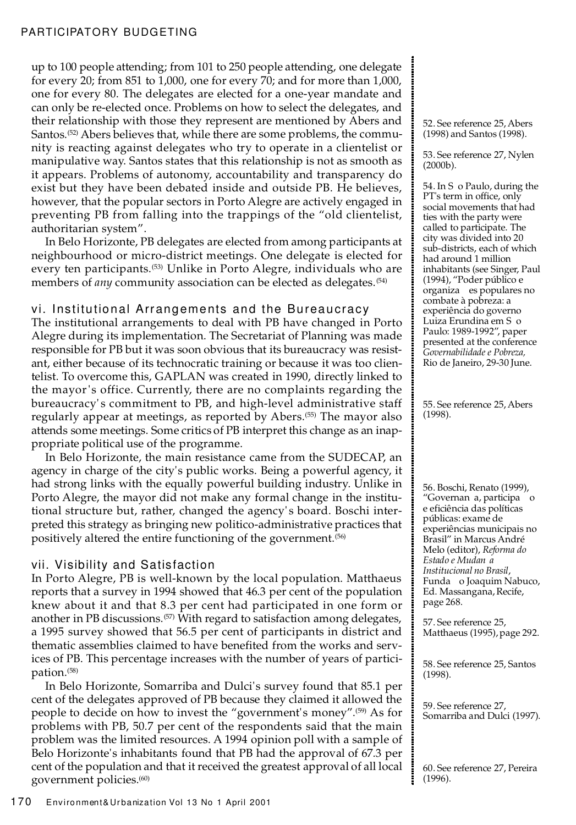up to 100 people attending; from 101 to 250 people attending, one delegate for every 20; from 851 to 1,000, one for every 70; and for more than 1,000, one for every 80. The delegates are elected for a one-year mandate and can only be re-elected once. Problems on how to select the delegates, and their relationship with those they represent are mentioned by Abers and Santos.<sup>(52)</sup> Abers believes that, while there are some problems, the community is reacting against delegates who try to operate in a clientelist or manipulative way. Santos states that this relationship is not as smooth as it appears. Problems of autonomy, accountability and transparency do exist but they have been debated inside and outside PB. He believes, however, that the popular sectors in Porto Alegre are actively engaged in preventing PB from falling into the trappings of the "old clientelist, authoritarian system".

In Belo Horizonte, PB delegates are elected from among participants at neighbourhood or micro-district meetings. One delegate is elected for every ten participants.<sup>(53)</sup> Unlike in Porto Alegre, individuals who are members of *any* community association can be elected as delegates.<sup>(54)</sup>

#### vi. Institutional Arrangements and the Bureaucracy

The institutional arrangements to deal with PB have changed in Porto Alegre during its implementation. The Secretariat of Planning was made responsible for PB but it was soon obvious that its bureaucracy was resistant, either because of its technocratic training or because it was too clientelist. To overcome this, GAPLAN was created in 1990, directly linked to the mayor's office. Currently, there are no complaints regarding the bureaucracy's commitment to PB, and high-level administrative staff regularly appear at meetings, as reported by Abers.(55) The mayor also attends some meetings. Some critics of PB interpret this change as an inappropriate political use of the programme.

In Belo Horizonte, the main resistance came from the SUDECAP, an agency in charge of the city's public works. Being a powerful agency, it had strong links with the equally powerful building industry. Unlike in Porto Alegre, the mayor did not make any formal change in the institutional structure but, rather, changed the agency's board. Boschi interpreted this strategy as bringing new politico-administrative practices that positively altered the entire functioning of the government.<sup>(56)</sup>

#### vii. Visibility and Satisfaction

In Porto Alegre, PB is well-known by the local population. Matthaeus reports that a survey in 1994 showed that 46.3 per cent of the population knew about it and that 8.3 per cent had participated in one form or another in PB discussions.<sup>(57)</sup> With regard to satisfaction among delegates, a 1995 survey showed that 56.5 per cent of participants in district and thematic assemblies claimed to have benefited from the works and services of PB. This percentage increases with the number of years of participation.(58)

In Belo Horizonte, Somarriba and Dulci's survey found that 85.1 per cent of the delegates approved of PB because they claimed it allowed the people to decide on how to invest the "government's money".<sup>(59)</sup> As for  $\vdots$ problems with PB, 50.7 per cent of the respondents said that the main problem was the limited resources. A 1994 opinion poll with a sample of Belo Horizonte's inhabitants found that PB had the approval of 67.3 per cent of the population and that it received the greatest approval of all local government policies.(60)

52. See reference 25, Abers (1998) and Santos (1998).

53. See reference 27, Nylen (2000b).

54. In S o Paulo, during the PT's term in office, only social movements that had ties with the party were called to participate. The city was divided into 20 sub-districts, each of which had around 1 million inhabitants (see Singer, Paul (1994), "Poder público e organiza es populares no combate à pobreza: a experiência do governo Luiza Erundina em So Paulo: 1989-1992", paper presented at the conference *Governabilidade e Pobreza,* Rio de Janeiro, 29-30 June.

55. See reference 25, Abers (1998).

56. Boschi, Renato (1999), "Governan a, participa o e eficiência das políticas públicas: exame de experiências municipais no Brasil" in Marcus André Melo (editor), *Reforma do Estado e Mudança Institucional no Brasil*, Funda o Joaquim Nabuco, Ed. Massangana, Recife, page 268.

57. See reference 25, Matthaeus (1995), page 292.

58. See reference 25, Santos (1998).

59. See reference 27, Somarriba and Dulci (1997).

60. See reference 27, Pereira (1996).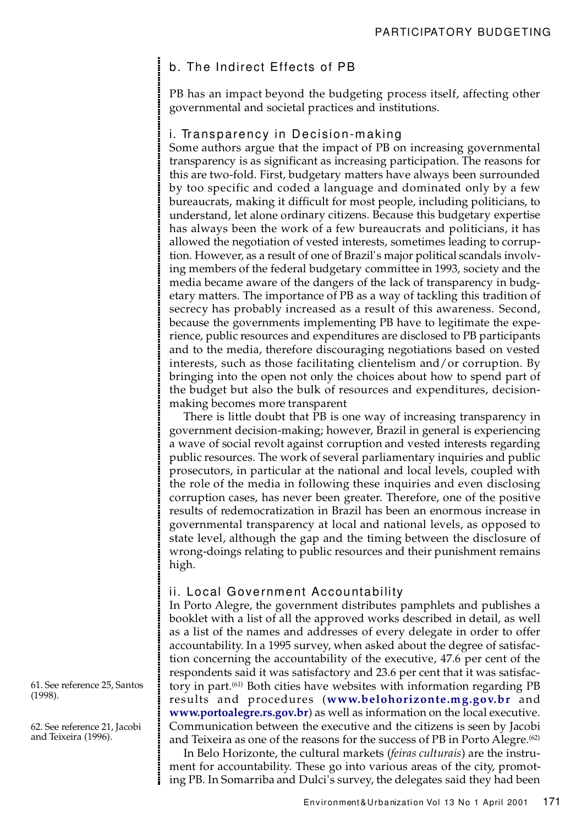# b. The Indirect Effects of PB

PB has an impact beyond the budgeting process itself, affecting other governmental and societal practices and institutions.

#### i. Transparency in Decision-making

Some authors argue that the impact of PB on increasing governmental transparency is as significant as increasing participation. The reasons for this are two-fold. First, budgetary matters have always been surrounded by too specific and coded a language and dominated only by a few bureaucrats, making it difficult for most people, including politicians, to understand, let alone ordinary citizens. Because this budgetary expertise has always been the work of a few bureaucrats and politicians, it has allowed the negotiation of vested interests, sometimes leading to corruption. However, as a result of one of Brazil's major political scandals involving members of the federal budgetary committee in 1993, society and the media became aware of the dangers of the lack of transparency in budgetary matters. The importance of PB as a way of tackling this tradition of secrecy has probably increased as a result of this awareness. Second, because the governments implementing PB have to legitimate the experience, public resources and expenditures are disclosed to PB participants and to the media, therefore discouraging negotiations based on vested interests, such as those facilitating clientelism and/or corruption. By bringing into the open not only the choices about how to spend part of the budget but also the bulk of resources and expenditures, decisionmaking becomes more transparent

There is little doubt that PB is one way of increasing transparency in government decision-making; however, Brazil in general is experiencing a wave of social revolt against corruption and vested interests regarding public resources. The work of several parliamentary inquiries and public prosecutors, in particular at the national and local levels, coupled with the role of the media in following these inquiries and even disclosing corruption cases, has never been greater. Therefore, one of the positive results of redemocratization in Brazil has been an enormous increase in governmental transparency at local and national levels, as opposed to state level, although the gap and the timing between the disclosure of wrong-doings relating to public resources and their punishment remains high.

#### ii. Local Government Accountability

In Porto Alegre, the government distributes pamphlets and publishes a booklet with a list of all the approved works described in detail, as well as a list of the names and addresses of every delegate in order to offer accountability. In a 1995 survey, when asked about the degree of satisfaction concerning the accountability of the executive, 47.6 per cent of the respondents said it was satisfactory and 23.6 per cent that it was satisfactory in part.(61) Both cities have websites with information regarding PB results and procedures (**[www.belohorizonte.mg.gov.br](http://www.belohorizonte.mg.gov.br)** and **[www.portoalegre.rs.gov.br](http://www.portoalegre.rs.gov.br)**) as well as information on the local executive. Communication between the executive and the citizens is seen by Jacobi and Teixeira as one of the reasons for the success of PB in Porto Alegre.<sup>(62)</sup>

In Belo Horizonte, the cultural markets (*feiras culturais*) are the instrument for accountability. These go into various areas of the city, promoting PB. In Somarriba and Dulci's survey, the delegates said they had been

61. See reference 25, Santos (1998).

62. See reference 21, Jacobi and Teixeira (1996).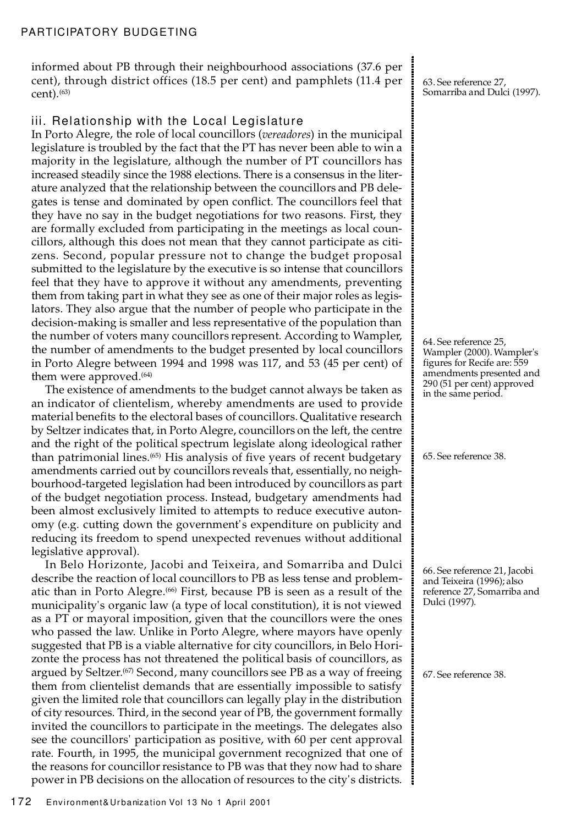informed about PB through their neighbourhood associations (37.6 per cent), through district offices (18.5 per cent) and pamphlets (11.4 per  $cent)$ .  $(63)$ 

#### iii. Relationship with the Local Legislature

In Porto Alegre, the role of local councillors (*vereadores*) in the municipal legislature is troubled by the fact that the PT has never been able to win a majority in the legislature, although the number of PT councillors has increased steadily since the 1988 elections. There is a consensus in the literature analyzed that the relationship between the councillors and PB delegates is tense and dominated by open conflict. The councillors feel that they have no say in the budget negotiations for two reasons. First, they are formally excluded from participating in the meetings as local councillors, although this does not mean that they cannot participate as citizens. Second, popular pressure not to change the budget proposal submitted to the legislature by the executive is so intense that councillors feel that they have to approve it without any amendments, preventing them from taking part in what they see as one of their major roles as legislators. They also argue that the number of people who participate in the decision-making is smaller and less representative of the population than the number of voters many councillors represent. According to Wampler, the number of amendments to the budget presented by local councillors in Porto Alegre between 1994 and 1998 was 117, and 53 (45 per cent) of them were approved.<sup>(64)</sup>

The existence of amendments to the budget cannot always be taken as an indicator of clientelism, whereby amendments are used to provide material benefits to the electoral bases of councillors. Qualitative research by Seltzer indicates that, in Porto Alegre, councillors on the left, the centre and the right of the political spectrum legislate along ideological rather than patrimonial lines.<sup>(65)</sup> His analysis of five years of recent budgetary amendments carried out by councillors reveals that, essentially, no neighbourhood-targeted legislation had been introduced by councillors as part of the budget negotiation process. Instead, budgetary amendments had been almost exclusively limited to attempts to reduce executive autonomy (e.g. cutting down the government's expenditure on publicity and reducing its freedom to spend unexpected revenues without additional legislative approval).

In Belo Horizonte, Jacobi and Teixeira, and Somarriba and Dulci describe the reaction of local councillors to PB as less tense and problematic than in Porto Alegre.(66) First, because PB is seen as a result of the municipality's organic law (a type of local constitution), it is not viewed as a PT or mayoral imposition, given that the councillors were the ones who passed the law. Unlike in Porto Alegre, where mayors have openly suggested that PB is a viable alternative for city councillors, in Belo Horizonte the process has not threatened the political basis of councillors, as argued by Seltzer.<sup>(67)</sup> Second, many councillors see PB as a way of freeing them from clientelist demands that are essentially impossible to satisfy given the limited role that councillors can legally play in the distribution of city resources. Third, in the second year of PB, the government formally invited the councillors to participate in the meetings. The delegates also see the councillors' participation as positive, with 60 per cent approval rate. Fourth, in 1995, the municipal government recognized that one of the reasons for councillor resistance to PB was that they now had to share power in PB decisions on the allocation of resources to the city's districts.

63. See reference 27, Somarriba and Dulci (1997).

64. See reference 25, Wampler (2000). Wampler's figures for Recife are: 559 amendments presented and 290 (51 per cent) approved in the same period.

65. See reference 38.

66. See reference 21, Jacobi and Teixeira (1996); also reference 27, Somarriba and Dulci (1997).

67. See reference 38.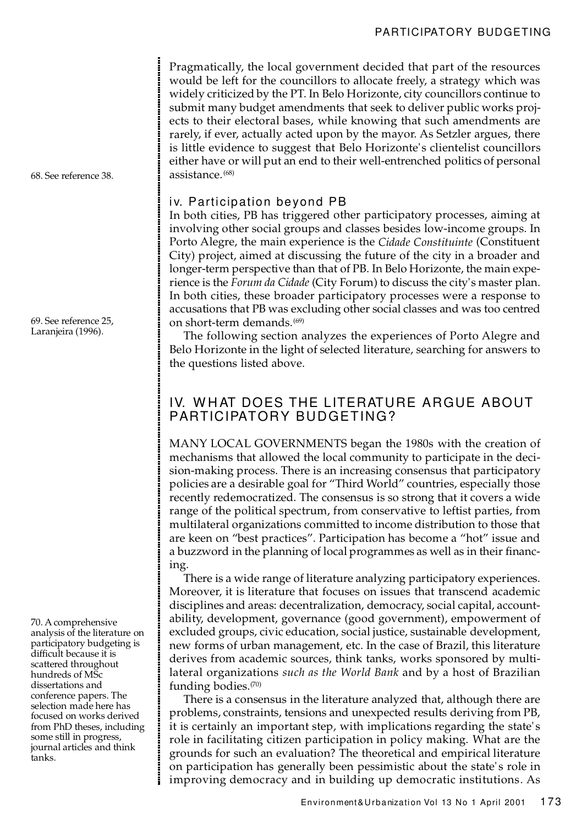Pragmatically, the local government decided that part of the resources would be left for the councillors to allocate freely, a strategy which was widely criticized by the PT. In Belo Horizonte, city councillors continue to submit many budget amendments that seek to deliver public works projects to their electoral bases, while knowing that such amendments are rarely, if ever, actually acted upon by the mayor. As Setzler argues, there is little evidence to suggest that Belo Horizonte's clientelist councillors either have or will put an end to their well-entrenched politics of personal assistance.(68)

#### iv. Participation beyond PB

In both cities, PB has triggered other participatory processes, aiming at involving other social groups and classes besides low-income groups. In Porto Alegre, the main experience is the *Cidade Constituinte* (Constituent City) project, aimed at discussing the future of the city in a broader and longer-term perspective than that of PB. In Belo Horizonte, the main experience is the *Forum da Cidade* (City Forum) to discuss the city's master plan. In both cities, these broader participatory processes were a response to accusations that PB was excluding other social classes and was too centred on short-term demands.(69)

The following section analyzes the experiences of Porto Alegre and Belo Horizonte in the light of selected literature, searching for answers to the questions listed above.

# IV. WHAT DOES THE LITERATURE ARGUE ABOUT PARTICIPATORY BUDGETING?

MANY LOCAL GOVERNMENTS began the 1980s with the creation of mechanisms that allowed the local community to participate in the decision-making process. There is an increasing consensus that participatory policies are a desirable goal for "Third World" countries, especially those recently redemocratized. The consensus is so strong that it covers a wide range of the political spectrum, from conservative to leftist parties, from multilateral organizations committed to income distribution to those that are keen on "best practices". Participation has become a "hot" issue and a buzzword in the planning of local programmes as well as in their financing.

There is a wide range of literature analyzing participatory experiences. Moreover, it is literature that focuses on issues that transcend academic disciplines and areas: decentralization, democracy, social capital, accountability, development, governance (good government), empowerment of excluded groups, civic education, social justice, sustainable development, new forms of urban management, etc. In the case of Brazil, this literature derives from academic sources, think tanks, works sponsored by multilateral organizations *such as the World Bank* and by a host of Brazilian funding bodies.(70)

There is a consensus in the literature analyzed that, although there are problems, constraints, tensions and unexpected results deriving from PB, it is certainly an important step, with implications regarding the state's role in facilitating citizen participation in policy making. What are the grounds for such an evaluation? The theoretical and empirical literature on participation has generally been pessimistic about the state's role in improving democracy and in building up democratic institutions. As

68. See reference 38.

69. See reference 25, Laranjeira (1996).

70. A comprehensive analysis of the literature on participatory budgeting is difficult because it is scattered throughout hundreds of MSc dissertations and conference papers. The selection made here has focused on works derived from PhD theses, including some still in progress, journal articles and think tanks.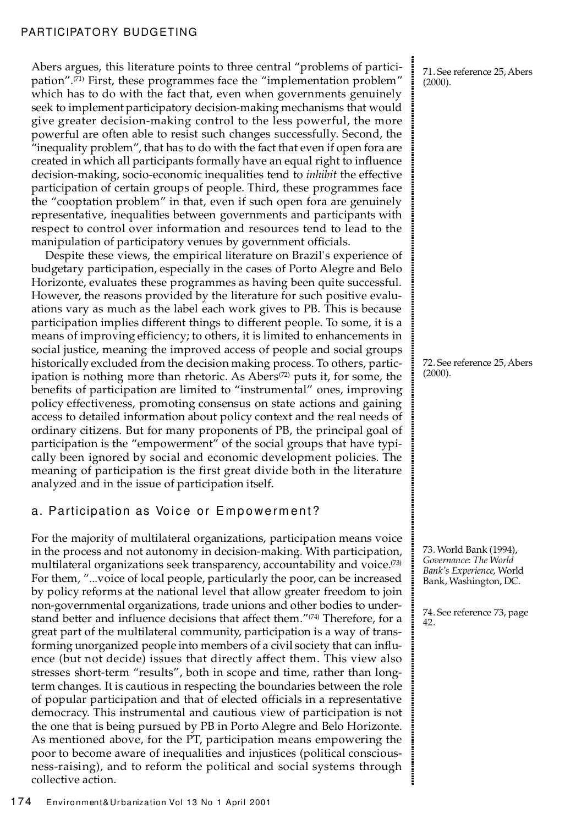Abers argues, this literature points to three central "problems of participation".<sup>(71)</sup> First, these programmes face the "implementation problem" **i** which has to do with the fact that, even when governments genuinely seek to implement participatory decision-making mechanisms that would give greater decision-making control to the less powerful, the more powerful are often able to resist such changes successfully. Second, the "inequality problem", that has to do with the fact that even if open fora are created in which all participants formally have an equal right to influence decision-making, socio-economic inequalities tend to *inhibit* the effective participation of certain groups of people. Third, these programmes face the "cooptation problem" in that, even if such open fora are genuinely representative, inequalities between governments and participants with respect to control over information and resources tend to lead to the manipulation of participatory venues by government officials.

Despite these views, the empirical literature on Brazil's experience of budgetary participation, especially in the cases of Porto Alegre and Belo Horizonte, evaluates these programmes as having been quite successful. However, the reasons provided by the literature for such positive evaluations vary as much as the label each work gives to PB. This is because participation implies different things to different people. To some, it is a means of improving efficiency; to others, it is limited to enhancements in social justice, meaning the improved access of people and social groups historically excluded from the decision making process. To others, participation is nothing more than rhetoric. As Abers<sup>(72)</sup> puts it, for some, the benefits of participation are limited to "instrumental" ones, improving policy effectiveness, promoting consensus on state actions and gaining access to detailed information about policy context and the real needs of ordinary citizens. But for many proponents of PB, the principal goal of participation is the "empowerment" of the social groups that have typically been ignored by social and economic development policies. The meaning of participation is the first great divide both in the literature analyzed and in the issue of participation itself.

# a. Participation as Voice or Empowerment?

For the majority of multilateral organizations, participation means voice in the process and not autonomy in decision-making. With participation, multilateral organizations seek transparency, accountability and voice.(73) For them, "...voice of local people, particularly the poor, can be increased by policy reforms at the national level that allow greater freedom to join non-governmental organizations, trade unions and other bodies to understand better and influence decisions that affect them."(74) Therefore, for a great part of the multilateral community, participation is a way of transforming unorganized people into members of a civil society that can influence (but not decide) issues that directly affect them. This view also stresses short-term "results", both in scope and time, rather than longterm changes. It is cautious in respecting the boundaries between the role of popular participation and that of elected officials in a representative democracy. This instrumental and cautious view of participation is not the one that is being pursued by PB in Porto Alegre and Belo Horizonte. As mentioned above, for the PT, participation means empowering the poor to become aware of inequalities and injustices (political consciousness-raising), and to reform the political and social systems through collective action.

71. See reference 25, Abers (2000).

72. See reference 25, Abers (2000).

73. World Bank (1994), *Governance*: *The World Bank's Experience*, World Bank, Washington, DC.

74. See reference 73, page 42.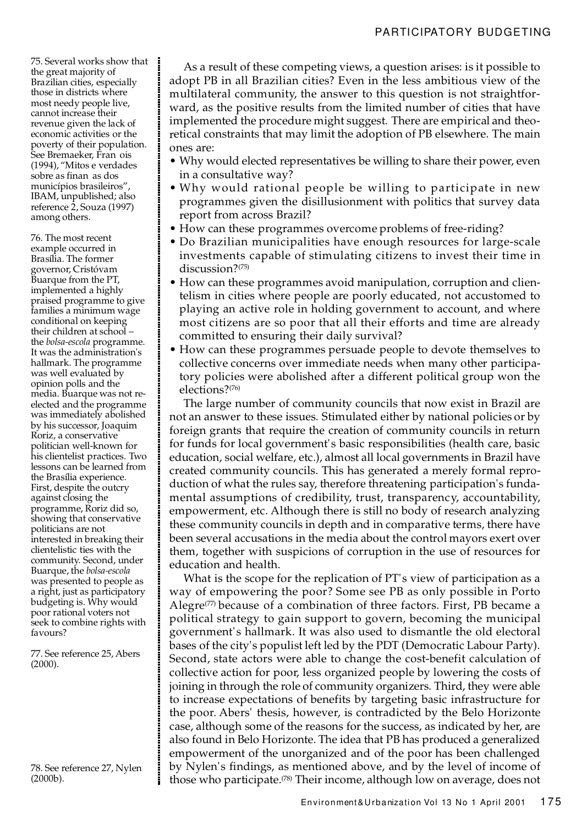75. Several works show that the great majority of Brazilian cities, especially those in districts where most needy people live, cannot increase their revenue given the lack of economic activities or the poverty of their population. See Bremaeker, Fran ois (1994), "Mitos e verdades sobre as finan as dos municípios brasileiros", IBAM, unpublished; also reference 2, Souza (1997) among others.

76. The most recent example occurred in Brasília. The former governor, Cristóvam Buarque from the PT, implemented a highly praised programme to give families a minimum wage conditional on keeping their children at school – the *bolsa-escola* programme. It was the administration's hallmark. The programme was well evaluated by opinion polls and the media. Buarque was not re elected and the programme was immediately abolished by his successor, Joaquim Roriz, a conservative politician well-known for his clientelist practices. Two lessons can be learned from the Brasília experience. First, despite the outcry against closing the programme, Roriz did so, showing that conservative politicians are not interested in breaking their clientelistic ties with the community. Second, under Buarque, the *bolsa-escola* was presented to people as a right, just as participatory budgeting is. Why would poor rational voters not seek to combine rights with favours?

77. See reference 25, Abers (2000).

78. See reference 27, Nylen (2000b).

As a result of these competing views, a question arises: is it possible to adopt PB in all Brazilian cities? Even in the less ambitious view of the multilateral community, the answer to this question is not straightforward, as the positive results from the limited number of cities that have implemented the procedure might suggest. There are empirical and theo retical constraints that may limit the adoption of PB elsewhere. The main

- ones are:<br>• Why would elected representatives be willing to share their power, even in a consultative way?
- Why would rational people be willing to participate in new programmes given the disillusionment with politics that survey data report from across Brazil?
- How can these programmes overcome problems of free-riding?
- Do Brazilian municipalities have enough resources for large-scale investments capable of stimulating citizens to invest their time in discussion?(75)
- How can these programmes avoid manipulation, corruption and clientelism in cities where people are poorly educated, not accustomed to playing an active role in holding government to account, and where most citizens are so poor that all their efforts and time are already
- committed to ensuring their daily survival? How can these programmes persuade people to devote themselves to collective concerns over immediate needs when many other participatory policies were abolished after a different political group won the elections?(76)

The large number of community councils that now exist in Brazil are not an answer to these issues. Stimulated either by national policies or by foreign grants that require the creation of community councils in return for funds for local government's basic responsibilities (health care, basic education, social welfare, etc.), almost all local governments in Brazil have created community councils. This has generated a merely formal reproduction of what the rules say, therefore threatening participation's fundamental assumptions of credibility, trust, transparency, accountability, empowerment, etc. Although there is still no body of research analyzing these community councils in depth and in comparative terms, there have been several accusations in the media about the control mayors exert over them, together with suspicions of corruption in the use of resources for education and health.

What is the scope for the replication of PT's view of participation as a way of empowering the poor? Some see PB as only possible in Porto Alegre<sup>(77)</sup> because of a combination of three factors. First, PB became a political strategy to gain support to govern, becoming the municipal government's hallmark. It was also used to dismantle the old electoral bases of the city's populist left led by the PDT (Democratic Labour Party). Second, state actors were able to change the cost-benefit calculation of collective action for poor, less organized people by lowering the costs of joining in through the role of community organizers. Third, they were able to increase expectations of benefits by targeting basic infrastructure for the poor. Abers' thesis, however, is contradicted by the Belo Horizonte case, although some of the reasons for the success, as indicated by her, are also found in Belo Horizonte. The idea that PB has produced a generalized empowerment of the unorganized and of the poor has been challenged by Nylen's findings, as mentioned above, and by the level of income of those who participate.(78) Their income, although low on average, does not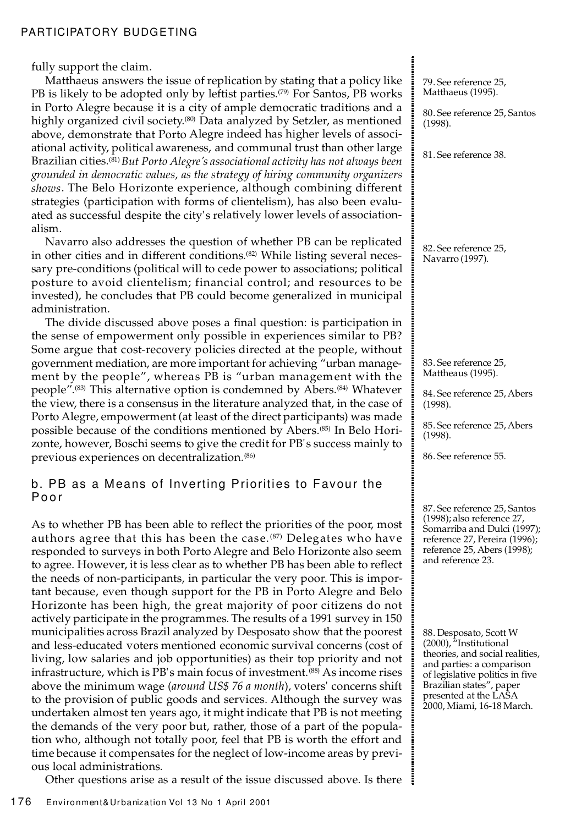#### PARTICIPATORY BUDGETING

fully support the claim.

Matthaeus answers the issue of replication by stating that a policy like PB is likely to be adopted only by leftist parties.<sup>(79)</sup> For Santos, PB works in Porto Alegre because it is a city of ample democratic traditions and a highly organized civil society.<sup>(80)</sup> Data analyzed by Setzler, as mentioned  $\;$ above, demonstrate that Porto Alegre indeed has higher levels of associational activity, political awareness, and communal trust than other large Brazilian cities.(81) *But Porto Alegre's associational activity has not always been grounded in democratic values, as the strategy of hiring community organizers shows*. The Belo Horizonte experience, although combining different strategies (participation with forms of clientelism), has also been evaluated as successful despite the city's relatively lower levels of associationalism.

Navarro also addresses the question of whether PB can be replicated in other cities and in different conditions.<sup>(82)</sup> While listing several necessary pre-conditions (political will to cede power to associations; political posture to avoid clientelism; financial control; and resources to be invested), he concludes that PB could become generalized in municipal administration.

The divide discussed above poses a final question: is participation in the sense of empowerment only possible in experiences similar to PB? Some argue that cost-recovery policies directed at the people, without government mediation, are more important for achieving "urban management by the people", whereas PB is "urban management with the people".<sup>(83)</sup> This alternative option is condemned by Abers.<sup>(84)</sup> Whatever **i** the view, there is a consensus in the literature analyzed that, in the case of Porto Alegre, empowerment (at least of the direct participants) was made possible because of the conditions mentioned by Abers.(85) In Belo Horizonte, however, Boschi seems to give the credit for PB's success mainly to previous experiences on decentralization.(86)

#### b. PB as a Means of Inverting Priorities to Favour the Po o r

As to whether PB has been able to reflect the priorities of the poor, most authors agree that this has been the case.<sup>(87)</sup> Delegates who have responded to surveys in both Porto Alegre and Belo Horizonte also seem to agree. However, it is less clear as to whether PB has been able to reflect the needs of non-participants, in particular the very poor. This is important because, even though support for the PB in Porto Alegre and Belo Horizonte has been high, the great majority of poor citizens do not actively participate in the programmes. The results of a 1991 survey in 150 municipalities across Brazil analyzed by Desposato show that the poorest and less-educated voters mentioned economic survival concerns (cost of living, low salaries and job opportunities) as their top priority and not infrastructure, which is PB's main focus of investment.<sup>(88)</sup> As income rises above the minimum wage (*around US\$ 76 a month*), voters' concerns shift to the provision of public goods and services. Although the survey was undertaken almost ten years ago, it might indicate that PB is not meeting the demands of the very poor but, rather, those of a part of the population who, although not totally poor, feel that PB is worth the effort and time because it compensates for the neglect of low-income areas by previous local administrations.

Other questions arise as a result of the issue discussed above. Is there

79. See reference 25, Matthaeus (1995). 80. See reference 25, Santos (1998). 81. See reference 38. 82. See reference 25, Navarro (1997). 83. See reference 25, Mattheaus (1995). 84. See reference 25, Abers (1998). 85. See reference 25, Abers (1998). 86. See reference 55. 87. See reference 25, Santos (1998); also reference 27, Somarriba and Dulci (1997); reference 27, Pereira (1996); reference 25, Abers (1998); and reference 23.

88. Desposato, Scott W (2000), "Institutional theories, and social realities, and parties: a comparison of legislative politics in five Brazilian states", paper presented at the LASA 2000, Miami, 16-18 March.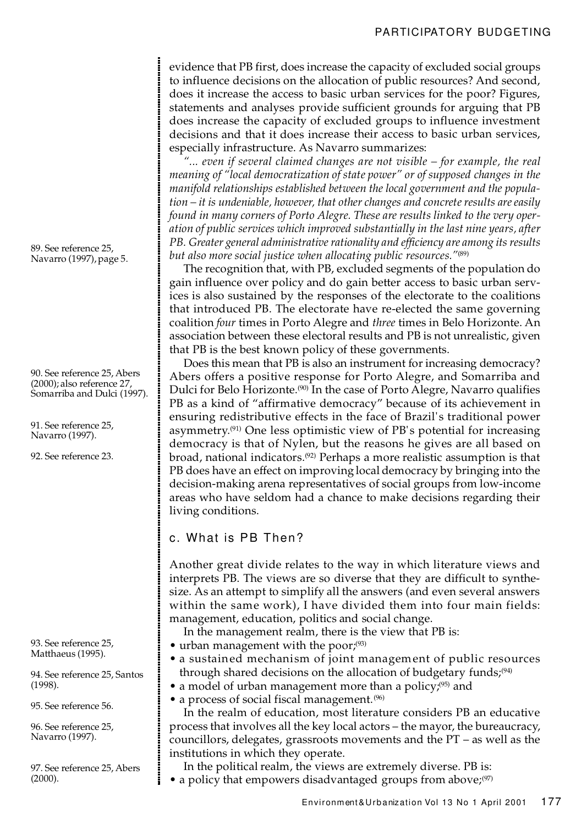evidence that PB first, does increase the capacity of excluded social groups to influence decisions on the allocation of public resources? And second, does it increase the access to basic urban services for the poor? Figures, statements and analyses provide sufficient grounds for arguing that PB does increase the capacity of excluded groups to influence investment decisions and that it does increase their access to basic urban services, especially infrastructure. As Navarro summarizes:

*"... even if several claimed changes are not visible – for example, the real meaning of "local democratization of state power" or of supposed changes in the manifold relationships established between the local government and the population – it is undeniable, however, that other changes and concrete results are easily found in many corners of Porto Alegre. These are results linked to the very operation of public services which improved substantially in the last nine years, after PB. Greater general administrative rationality and efficiency are among its results but also more social justice when allocating public resources."*(89)

The recognition that, with PB, excluded segments of the population do gain influence over policy and do gain better access to basic urban services is also sustained by the responses of the electorate to the coalitions that introduced PB. The electorate have re-elected the same governing coalition *four* times in Porto Alegre and *three* times in Belo Horizonte. An association between these electoral results and PB is not unrealistic, given that PB is the best known policy of these governments.

Does this mean that PB is also an instrument for increasing democracy? Abers offers a positive response for Porto Alegre, and Somarriba and Dulci for Belo Horizonte.(90) In the case of Porto Alegre, Navarro qualifies PB as a kind of "affirmative democracy" because of its achievement in ensuring redistributive effects in the face of Brazil's traditional power asymmetry. (91) One less optimistic view of PB's potential for increasing democracy is that of Nylen, but the reasons he gives are all based on broad, national indicators.(92) Perhaps a more realistic assumption is that PB does have an effect on improving local democracy by bringing into the decision-making arena representatives of social groups from low-income areas who have seldom had a chance to make decisions regarding their living conditions.

# c. What is PB Then?

Another great divide relates to the way in which literature views and interprets PB. The views are so diverse that they are difficult to synthesize. As an attempt to simplify all the answers (and even several answers within the same work), I have divided them into four main fields: management, education, politics and social change.

In the management realm, there is the view that PB is:

- urban management with the poor;<sup>(93)</sup>
- a sustained mechanism of joint management of public resources through shared decisions on the allocation of budgetary funds;<sup>(94)</sup>
- a model of urban management more than a policy;<sup>(95)</sup> and **•** a process of social fiscal management.<sup>(96)</sup>
- 

In the realm of education, most literature considers PB an educative process that involves all the key local actors – the mayor, the bureaucracy, councillors, delegates, grassroots movements and the PT – as well as the institutions in which they operate.

In the political realm, the views are extremely diverse. PB is:

• a policy that empowers disadvantaged groups from above;<sup>(97)</sup>

89. See reference 25, Navarro (1997), page 5.

90. See reference 25, Abers (2000); also reference 27, Somarriba and Dulci (1997).

91. See reference 25, Navarro (1997).

92. See reference 23.

93. See reference 25, Matthaeus (1995).

94. See reference 25, Santos (1998).

95. See reference 56.

96. See reference 25, Navarro (1997).

97. See reference 25, Abers (2000).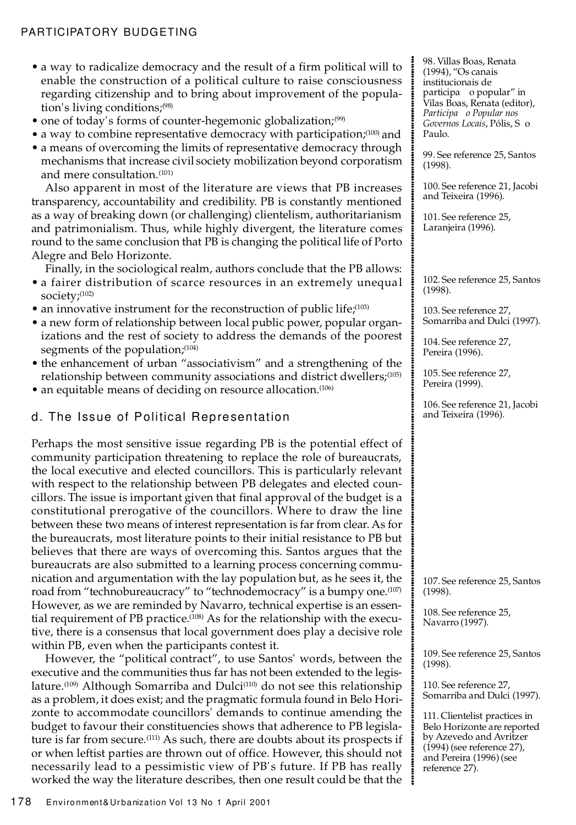- a way to radicalize democracy and the result of a firm political will to enable the construction of a political culture to raise consciousness regarding citizenship and to bring about improvement of the population's living conditions;(98)
- one of today's forms of counter-hegemonic globalization;<sup>(99)</sup>
- a way to combine representative democracy with participation;<sup>(100)</sup> and **•** a means of overcoming the limits of representative democracy through
- mechanisms that increase civil society mobilization beyond corporatism and mere consultation.(101)

Also apparent in most of the literature are views that PB increases transparency, accountability and credibility. PB is constantly mentioned as a way of breaking down (or challenging) clientelism, authoritarianism and patrimonialism. Thus, while highly divergent, the literature comes round to the same conclusion that PB is changing the political life of Porto Alegre and Belo Horizonte.

Finally, in the sociological realm, authors conclude that the PB allows:

- a fairer distribution of scarce resources in an extremely unequal society;(102)
- $\bullet$  an innovative instrument for the reconstruction of public life; $(103)$
- a new form of relationship between local public power, popular organizations and the rest of society to address the demands of the poorest segments of the population;<sup>(104)</sup>
- the enhancement of urban "associativism" and a strengthening of the relationship between community associations and district dwellers;(105)
- an equitable means of deciding on resource allocation.<sup>(106)</sup>

#### d. The Issue of Political Representation

Perhaps the most sensitive issue regarding PB is the potential effect of community participation threatening to replace the role of bureaucrats, the local executive and elected councillors. This is particularly relevant with respect to the relationship between PB delegates and elected councillors. The issue is important given that final approval of the budget is a constitutional prerogative of the councillors. Where to draw the line between these two means of interest representation is far from clear. As for the bureaucrats, most literature points to their initial resistance to PB but believes that there are ways of overcoming this. Santos argues that the bureaucrats are also submitted to a learning process concerning communication and argumentation with the lay population but, as he sees it, the road from "technobureaucracy" to "technodemocracy" is a bumpy one.<sup>(107)</sup> However, as we are reminded by Navarro, technical expertise is an essential requirement of PB practice.<sup>(108)</sup> As for the relationship with the executive, there is a consensus that local government does play a decisive role within PB, even when the participants contest it.

However, the "political contract", to use Santos' words, between the executive and the communities thus far has not been extended to the legislature.<sup>(109)</sup> Although Somarriba and Dulci<sup>(110)</sup> do not see this relationship as a problem, it does exist; and the pragmatic formula found in Belo Horizonte to accommodate councillors' demands to continue amending the budget to favour their constituencies shows that adherence to PB legislature is far from secure.(111) As such, there are doubts about its prospects if or when leftist parties are thrown out of office. However, this should not necessarily lead to a pessimistic view of PB's future. If PB has really worked the way the literature describes, then one result could be that the 99. See reference 25, Santos (1998).

100. See reference 21, Jacobi and Teixeira (1996).

101. See reference 25, Laranjeira (1996).

102. See reference 25, Santos (1998).

103. See reference 27, Somarriba and Dulci (1997).

104. See reference 27, Pereira (1996).

105. See reference 27, Pereira (1999).

106. See reference 21, Jacobi and Teixeira (1996).

107. See reference 25, Santos (1998).

108. See reference 25, Navarro (1997).

109. See reference 25, Santos (1998).

110. See reference 27, Somarriba and Dulci (1997).

111. Clientelist practices in Belo Horizonte are reported by Azevedo and Avritzer (1994) (see reference 27), and Pereira (1996) (see reference 27).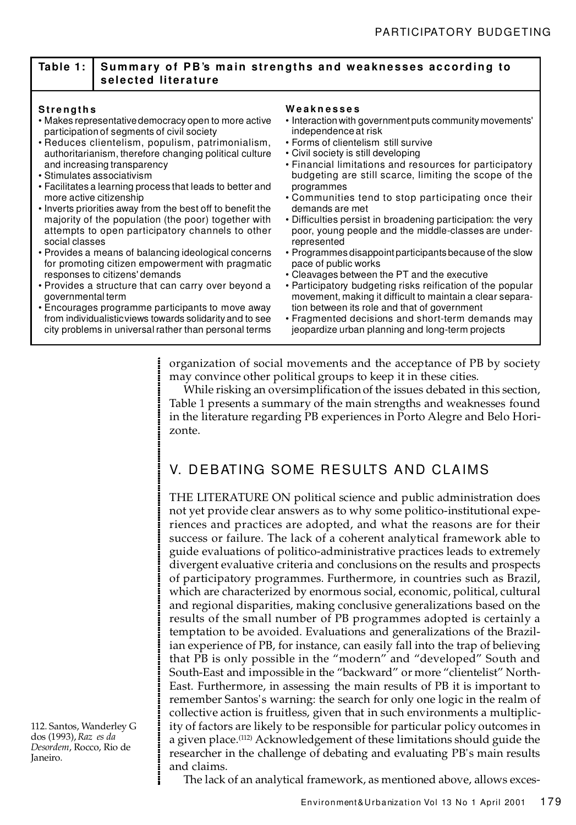#### **Table 1: Summ a ry of PB's ma in str engt hs and wea kne ss es ac cording to s elected litera ture**

#### **Str e ngth s**

- Makes representative democracy open to more active participation of segments of civil society
- Reduces clientelism, populism, patrimonialism, authoritarianism, therefore changing political culture and increasing transparency
- Stimulates associativism
- Facilitates a learning process that leads to better and more active citizenship
- $\cdot$  Inverts priorities away from the best off to benefit the majority of the population (the poor) together with attempts to open participatory channels to other social classes
- Provides a means of balancing ideological concerns for promoting citizen empowerment with pragmatic responses to citizens' demands
- Provides a structure that can carry over beyond a governmental term
- Encourages programme participants to move away from individualistic views towards solidarity and to see city problems in universal rather than personal terms

#### **W e a k n e s s e s**

- $\cdot$  Interaction with government puts community movements' independence at risk
- Forms of clientelism still survive
- Civil society is still developing
- Financial limitations and resources for participatory budgeting are still scarce, limiting the scope of the programmes
- Communities tend to stop participating once their demands are met
- Difficulties persist in broadening participation: the very poor, young people and the middle-classes are underrepresented
- Programmes disappoint participants because of the slow pace of public works
- Cleavages between the PT and the executive
- Participatory budgeting risks reification of the popular movement, making it difficult to maintain a clear separation between its role and that of government
- Fragmented decisions and short-term demands may jeopardize urban planning and long-term projects

organization of social movements and the acceptance of PB by society may convince other political groups to keep it in these cities.

While risking an oversimplification of the issues debated in this section, Table 1 presents a summary of the main strengths and weaknesses found in the literature regarding PB experiences in Porto Alegre and Belo Horizonte.

# V. DEBATING SOME RESULTS AND CLAIMS

THE LITERATURE ON political science and public administration does not yet provide clear answers as to why some politico-institutional experiences and practices are adopted, and what the reasons are for their success or failure. The lack of a coherent analytical framework able to guide evaluations of politico-administrative practices leads to extremely divergent evaluative criteria and conclusions on the results and prospects of participatory programmes. Furthermore, in countries such as Brazil, which are characterized by enormous social, economic, political, cultural and regional disparities, making conclusive generalizations based on the results of the small number of PB programmes adopted is certainly a temptation to be avoided. Evaluations and generalizations of the Brazilian experience of PB, for instance, can easily fall into the trap of believing that PB is only possible in the "modern" and "developed" South and South-East and impossible in the "backward" or more "clientelist" North-East. Furthermore, in assessing the main results of PB it is important to remember Santos's warning: the search for only one logic in the realm of collective action is fruitless, given that in such environments a multiplicity of factors are likely to be responsible for particular policy outcomes in a given place.(112) Acknowledgement of these limitations should guide the researcher in the challenge of debating and evaluating PB's main results and claims.

The lack of an analytical framework, as mentioned above, allows exces-

112. Santos, Wanderley G dos (1993), Raz es da *Desordem*, Rocco, Rio de Janeiro.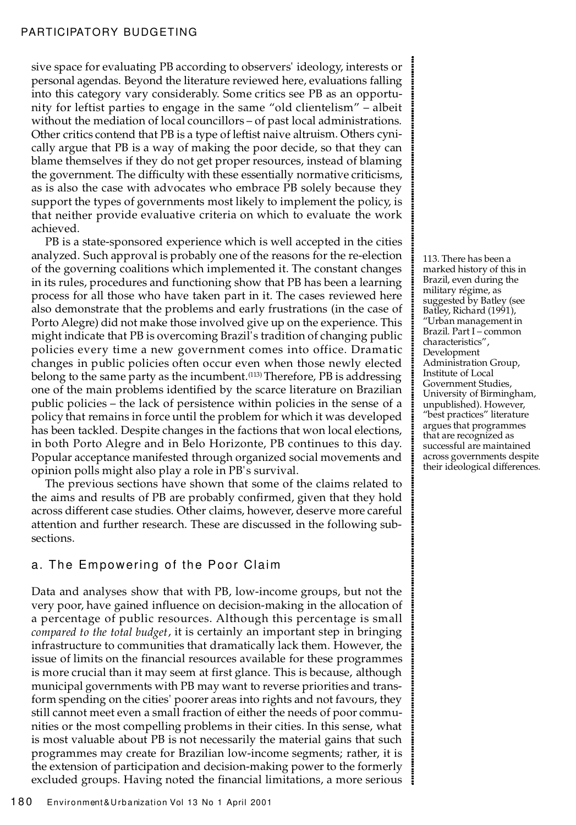sive space for evaluating PB according to observers' ideology, interests or personal agendas. Beyond the literature reviewed here, evaluations falling into this category vary considerably. Some critics see PB as an opportunity for leftist parties to engage in the same "old clientelism" – albeit without the mediation of local councillors – of past local administrations. Other critics contend that PB is a type of leftist naive altruism. Others cynically argue that PB is a way of making the poor decide, so that they can blame themselves if they do not get proper resources, instead of blaming the government. The difficulty with these essentially normative criticisms, as is also the case with advocates who embrace PB solely because they support the types of governments most likely to implement the policy, is that neither provide evaluative criteria on which to evaluate the work achieved.

PB is a state-sponsored experience which is well accepted in the cities analyzed. Such approval is probably one of the reasons for the re-election of the governing coalitions which implemented it. The constant changes in its rules, procedures and functioning show that PB has been a learning process for all those who have taken part in it. The cases reviewed here also demonstrate that the problems and early frustrations (in the case of Porto Alegre) did not make those involved give up on the experience. This might indicate that PB is overcoming Brazil's tradition of changing public policies every time a new government comes into office. Dramatic changes in public policies often occur even when those newly elected belong to the same party as the incumbent.<sup>(113)</sup> Therefore, PB is addressing one of the main problems identified by the scarce literature on Brazilian public policies – the lack of persistence within policies in the sense of a policy that remains in force until the problem for which it was developed has been tackled. Despite changes in the factions that won local elections, in both Porto Alegre and in Belo Horizonte, PB continues to this day. Popular acceptance manifested through organized social movements and opinion polls might also play a role in PB's survival.

The previous sections have shown that some of the claims related to the aims and results of PB are probably confirmed, given that they hold across different case studies. Other claims, however, deserve more careful attention and further research. These are discussed in the following subsections.

# a. The Empowering of the Poor Claim

Data and analyses show that with PB, low-income groups, but not the very poor, have gained influence on decision-making in the allocation of a percentage of public resources. Although this percentage is small *compared to the total budget*, it is certainly an important step in bringing infrastructure to communities that dramatically lack them. However, the issue of limits on the financial resources available for these programmes is more crucial than it may seem at first glance. This is because, although municipal governments with PB may want to reverse priorities and transform spending on the cities' poorer areas into rights and not favours, they still cannot meet even a small fraction of either the needs of poor communities or the most compelling problems in their cities. In this sense, what is most valuable about PB is not necessarily the material gains that such programmes may create for Brazilian low-income segments; rather, it is the extension of participation and decision-making power to the formerly excluded groups. Having noted the financial limitations, a more serious

113. There has been a marked history of this in Brazil, even during the military régime, as suggested by Batley (see Batley, Richard (1991), "Urban management in Brazil. Part I – common characteristics", Development Administration Group, Institute of Local Government Studies, University of Birmingham, unpublished). However, "best practices" literature argues that programmes that are recognized as successful are maintained across governments despite their ideological differences.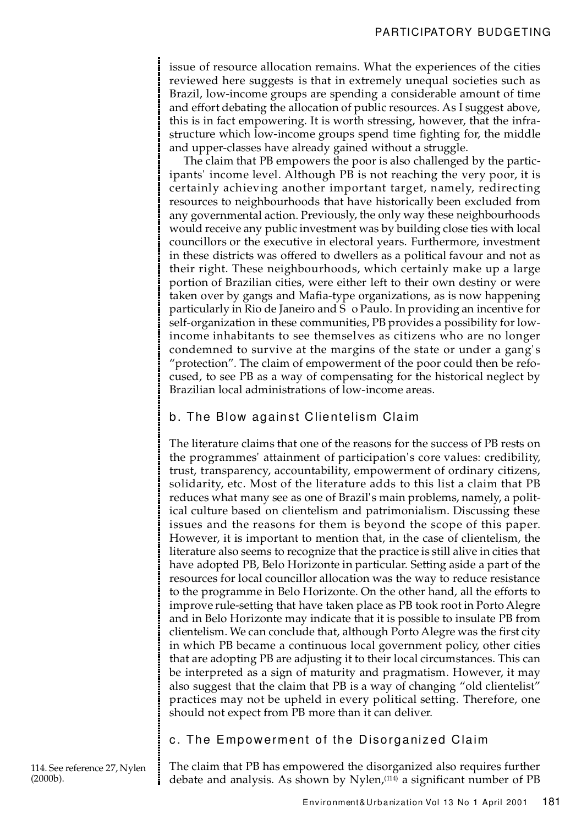issue of resource allocation remains. What the experiences of the cities reviewed here suggests is that in extremely unequal societies such as Brazil, low-income groups are spending a considerable amount of time and effort debating the allocation of public resources. As I suggest above, this is in fact empowering. It is worth stressing, however, that the infrastructure which low-income groups spend time fighting for, the middle and upper-classes have already gained without a struggle.

The claim that PB empowers the poor is also challenged by the participants' income level. Although PB is not reaching the very poor, it is certainly achieving another important target, namely, redirecting resources to neighbourhoods that have historically been excluded from any governmental action. Previously, the only way these neighbourhoods would receive any public investment was by building close ties with local councillors or the executive in electoral years. Furthermore, investment in these districts was offered to dwellers as a political favour and not as their right. These neighbourhoods, which certainly make up a large portion of Brazilian cities, were either left to their own destiny or were taken over by gangs and Mafia-type organizations, as is now happening particularly in Rio de Janeiro and S o Paulo. In providing an incentive for self-organization in these communities, PB provides a possibility for lowincome inhabitants to see themselves as citizens who are no longer condemned to survive at the margins of the state or under a gang's "protection". The claim of empowerment of the poor could then be refocused, to see PB as a way of compensating for the historical neglect by Brazilian local administrations of low-income areas.

#### b. The Blow against Clientelism Claim

The literature claims that one of the reasons for the success of PB rests on the programmes' attainment of participation's core values: credibility, trust, transparency, accountability, empowerment of ordinary citizens, solidarity, etc. Most of the literature adds to this list a claim that PB reduces what many see as one of Brazil's main problems, namely, a political culture based on clientelism and patrimonialism. Discussing these issues and the reasons for them is beyond the scope of this paper. However, it is important to mention that, in the case of clientelism, the literature also seems to recognize that the practice is still alive in cities that have adopted PB, Belo Horizonte in particular. Setting aside a part of the resources for local councillor allocation was the way to reduce resistance to the programme in Belo Horizonte. On the other hand, all the efforts to improve rule-setting that have taken place as PB took root in Porto Alegre and in Belo Horizonte may indicate that it is possible to insulate PB from clientelism. We can conclude that, although Porto Alegre was the first city in which PB became a continuous local government policy, other cities that are adopting PB are adjusting it to their local circumstances. This can be interpreted as a sign of maturity and pragmatism. However, it may also suggest that the claim that PB is a way of changing "old clientelist" practices may not be upheld in every political setting. Therefore, one should not expect from PB more than it can deliver.

#### c. The Empowerment of the Disorganized Claim

114. See reference 27, Nylen (2000b).

The claim that PB has empowered the disorganized also requires further debate and analysis. As shown by Nylen,<sup>(114)</sup> a significant number of PB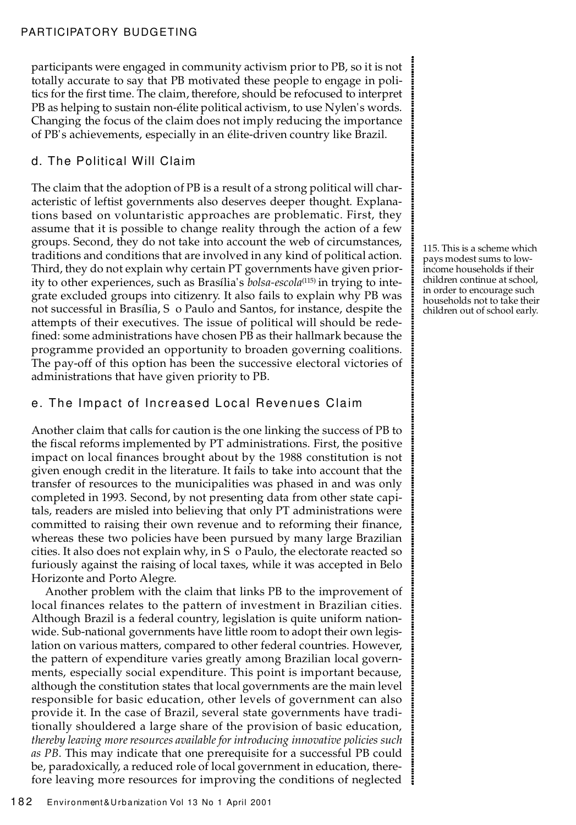participants were engaged in community activism prior to PB, so it is not totally accurate to say that PB motivated these people to engage in politics for the first time. The claim, therefore, should be refocused to interpret PB as helping to sustain non-élite political activism, to use Nylen's words. Changing the focus of the claim does not imply reducing the importance of PB's achievements, especially in an élite-driven country like Brazil.

# d. The Political Will Claim

The claim that the adoption of PB is a result of a strong political will characteristic of leftist governments also deserves deeper thought. Explanations based on voluntaristic approaches are problematic. First, they assume that it is possible to change reality through the action of a few groups. Second, they do not take into account the web of circumstances, traditions and conditions that are involved in any kind of political action. Third, they do not explain why certain PT governments have given priority to other experiences, such as Brasília's *bolsa-escola*<sup>(115)</sup> in trying to integrate excluded groups into citizenry. It also fails to explain why PB was not successful in Brasília, S o Paulo and Santos, for instance, despite the attempts of their executives. The issue of political will should be redefined: some administrations have chosen PB as their hallmark because the programme provided an opportunity to broaden governing coalitions. The pay-off of this option has been the successive electoral victories of administrations that have given priority to PB.

# e. The Impact of Increased Local Revenues Claim

Another claim that calls for caution is the one linking the success of PB to the fiscal reforms implemented by PT administrations. First, the positive impact on local finances brought about by the 1988 constitution is not given enough credit in the literature. It fails to take into account that the transfer of resources to the municipalities was phased in and was only completed in 1993. Second, by not presenting data from other state capitals, readers are misled into believing that only PT administrations were committed to raising their own revenue and to reforming their finance, whereas these two policies have been pursued by many large Brazilian cities. It also does not explain why, in S o Paulo, the electorate reacted so furiously against the raising of local taxes, while it was accepted in Belo Horizonte and Porto Alegre.

Another problem with the claim that links PB to the improvement of local finances relates to the pattern of investment in Brazilian cities. Although Brazil is a federal country, legislation is quite uniform nationwide. Sub-national governments have little room to adopt their own legislation on various matters, compared to other federal countries. However, the pattern of expenditure varies greatly among Brazilian local governments, especially social expenditure. This point is important because, although the constitution states that local governments are the main level responsible for basic education, other levels of government can also provide it. In the case of Brazil, several state governments have traditionally shouldered a large share of the provision of basic education, *thereby leaving more resources available for introducing innovative policies such as PB*. This may indicate that one prerequisite for a successful PB could be, paradoxically, a reduced role of local government in education, therefore leaving more resources for improving the conditions of neglected

115. This is a scheme which pays modest sums to lowincome households if their children continue at school, in order to encourage such households not to take their children out of school early.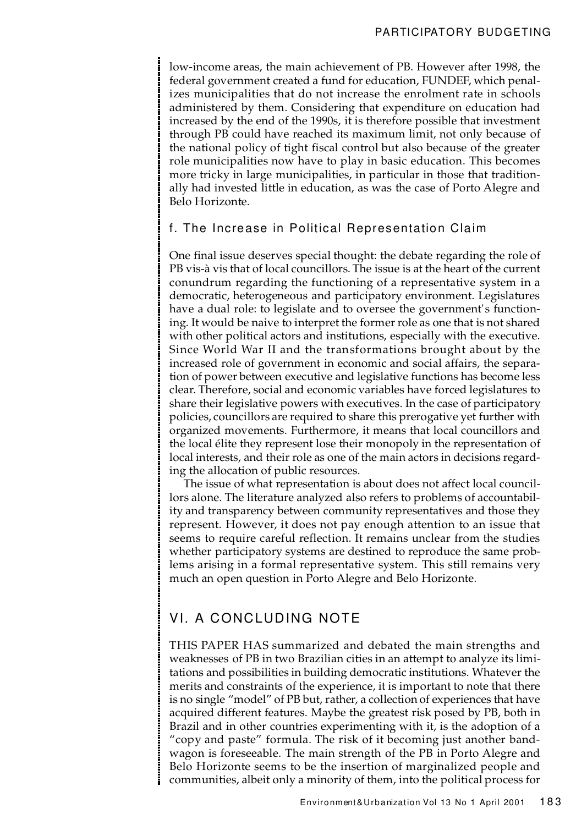low-income areas, the main achievement of PB. However after 1998, the federal government created a fund for education, FUNDEF, which penalizes municipalities that do not increase the enrolment rate in schools administered by them. Considering that expenditure on education had increased by the end of the 1990s, it is therefore possible that investment through PB could have reached its maximum limit, not only because of the national policy of tight fiscal control but also because of the greater role municipalities now have to play in basic education. This becomes more tricky in large municipalities, in particular in those that traditionally had invested little in education, as was the case of Porto Alegre and Belo Horizonte.

#### f. The Increase in Political Representation Claim

One final issue deserves special thought: the debate regarding the role of PB vis-à vis that of local councillors. The issue is at the heart of the current conundrum regarding the functioning of a representative system in a democratic, heterogeneous and participatory environment. Legislatures have a dual role: to legislate and to oversee the government's functioning. It would be naive to interpret the former role as one that is not shared with other political actors and institutions, especially with the executive. Since World War II and the transformations brought about by the increased role of government in economic and social affairs, the separation of power between executive and legislative functions has become less clear. Therefore, social and economic variables have forced legislatures to share their legislative powers with executives. In the case of participatory policies, councillors are required to share this prerogative yet further with organized movements. Furthermore, it means that local councillors and the local élite they represent lose their monopoly in the representation of local interests, and their role as one of the main actors in decisions regarding the allocation of public resources.

The issue of what representation is about does not affect local councillors alone. The literature analyzed also refers to problems of accountability and transparency between community representatives and those they represent. However, it does not pay enough attention to an issue that seems to require careful reflection. It remains unclear from the studies whether participatory systems are destined to reproduce the same problems arising in a formal representative system. This still remains very much an open question in Porto Alegre and Belo Horizonte.

# VI. A CONCLUDING NOTE

THIS PAPER HAS summarized and debated the main strengths and weaknesses of PB in two Brazilian cities in an attempt to analyze its limitations and possibilities in building democratic institutions. Whatever the merits and constraints of the experience, it is important to note that there is no single "model" of PB but, rather, a collection of experiences that have acquired different features. Maybe the greatest risk posed by PB, both in Brazil and in other countries experimenting with it, is the adoption of a "copy and paste" formula. The risk of it becoming just another bandwagon is foreseeable. The main strength of the PB in Porto Alegre and Belo Horizonte seems to be the insertion of marginalized people and communities, albeit only a minority of them, into the political process for